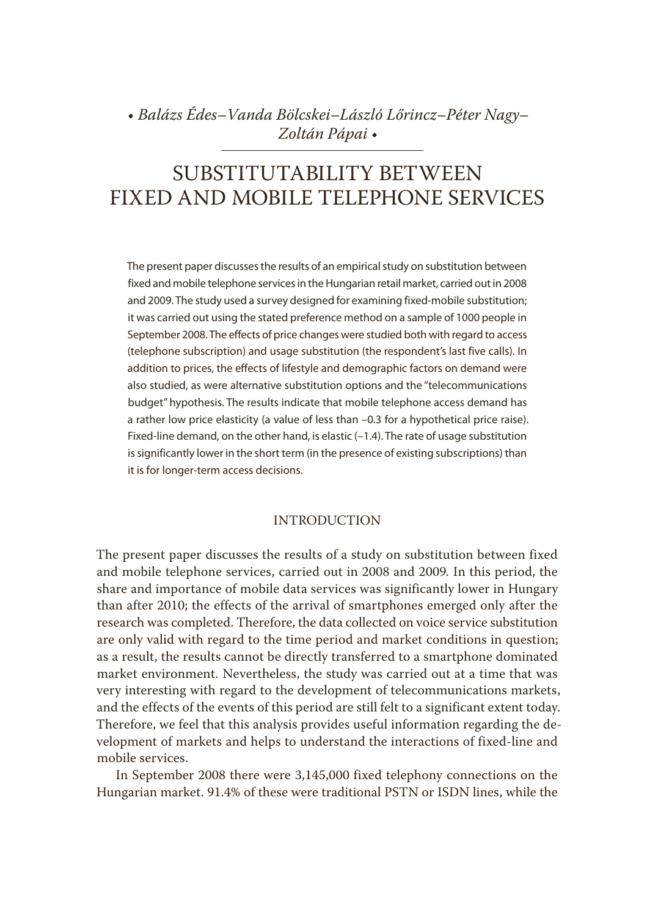• *Balázs Édes–Vanda Bölcskei–László Lőrincz–Péter Nagy– Zoltán Pápai* •

# SUBSTITUTABILITY BETWEEN FIXED AND MOBILE TELEPHONE SERVICES

The present paper discusses the results of an empirical study on substitution between fixed and mobile telephone services in the Hungarian retail market, carried out in 2008 and 2009. The study used a survey designed for examining fixed-mobile substitution; it was carried out using the stated preference method on a sample of 1000 people in September 2008. The effects of price changes were studied both with regard to access (telephone subscription) and usage substitution (the respondent's last five calls). In addition to prices, the effects of lifestyle and demographic factors on demand were also studied, as were alternative substitution options and the "telecommunications budget" hypothesis. The results indicate that mobile telephone access demand has a rather low price elasticity (a value of less than –0.3 for a hypothetical price raise). Fixed-line demand, on the other hand, is elastic (-1.4). The rate of usage substitution is significantly lower in the short term (in the presence of existing subscriptions) than it is for longer-term access decisions.

# INTRODUCTION

The present paper discusses the results of a study on substitution between fixed and mobile telephone services, carried out in 2008 and 2009*.* In this period, the share and importance of mobile data services was significantly lower in Hungary than after 2010; the effects of the arrival of smartphones emerged only after the research was completed. Therefore, the data collected on voice service substitution are only valid with regard to the time period and market conditions in question; as a result, the results cannot be directly transferred to a smartphone dominated market environment. Nevertheless, the study was carried out at a time that was very interesting with regard to the development of telecommunications markets, and the effects of the events of this period are still felt to a significant extent today. Therefore, we feel that this analysis provides useful information regarding the development of markets and helps to understand the interactions of fixed-line and mobile services.

In September 2008 there were 3,145,000 fixed telephony connections on the Hungarian market. 91.4% of these were traditional PSTN or ISDN lines, while the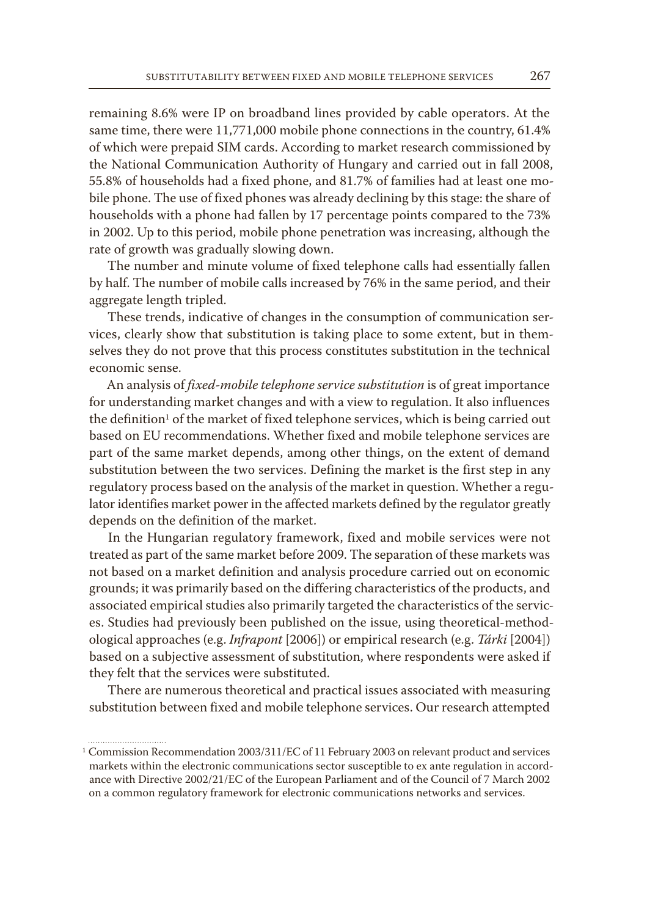remaining 8.6% were IP on broadband lines provided by cable operators. At the same time, there were 11,771,000 mobile phone connections in the country, 61.4% of which were prepaid SIM cards. According to market research commissioned by the National Communication Authority of Hungary and carried out in fall 2008, 55.8% of households had a fixed phone, and 81.7% of families had at least one mobile phone. The use of fixed phones was already declining by this stage: the share of households with a phone had fallen by 17 percentage points compared to the 73% in 2002. Up to this period, mobile phone penetration was increasing, although the rate of growth was gradually slowing down.

The number and minute volume of fixed telephone calls had essentially fallen by half. The number of mobile calls increased by 76% in the same period, and their aggregate length tripled.

These trends, indicative of changes in the consumption of communication services, clearly show that substitution is taking place to some extent, but in themselves they do not prove that this process constitutes substitution in the technical economic sense.

An analysis of *fixed-mobile telephone service substitution* is of great importance for understanding market changes and with a view to regulation. It also influences the definition<sup>1</sup> of the market of fixed telephone services, which is being carried out based on EU recommendations. Whether fixed and mobile telephone services are part of the same market depends, among other things, on the extent of demand substitution between the two services. Defining the market is the first step in any regulatory process based on the analysis of the market in question. Whether a regulator identifies market power in the affected markets defined by the regulator greatly depends on the definition of the market.

In the Hungarian regulatory framework, fixed and mobile services were not treated as part of the same market before 2009. The separation of these markets was not based on a market definition and analysis procedure carried out on economic grounds; it was primarily based on the differing characteristics of the products, and associated empirical studies also primarily targeted the characteristics of the services. Studies had previously been published on the issue, using theoretical-methodological approaches (e.g. *Infrapont* [2006]) or empirical research (e.g. *Tárki* [2004]) based on a subjective assessment of substitution, where respondents were asked if they felt that the services were substituted.

There are numerous theoretical and practical issues associated with measuring substitution between fixed and mobile telephone services. Our research attempted

<sup>1</sup> Commission Recommendation 2003/311/EC of 11 February 2003 on relevant product and services markets within the electronic communications sector susceptible to ex ante regulation in accordance with Directive 2002/21/EC of the European Parliament and of the Council of 7 March 2002 on a common regulatory framework for electronic communications networks and services.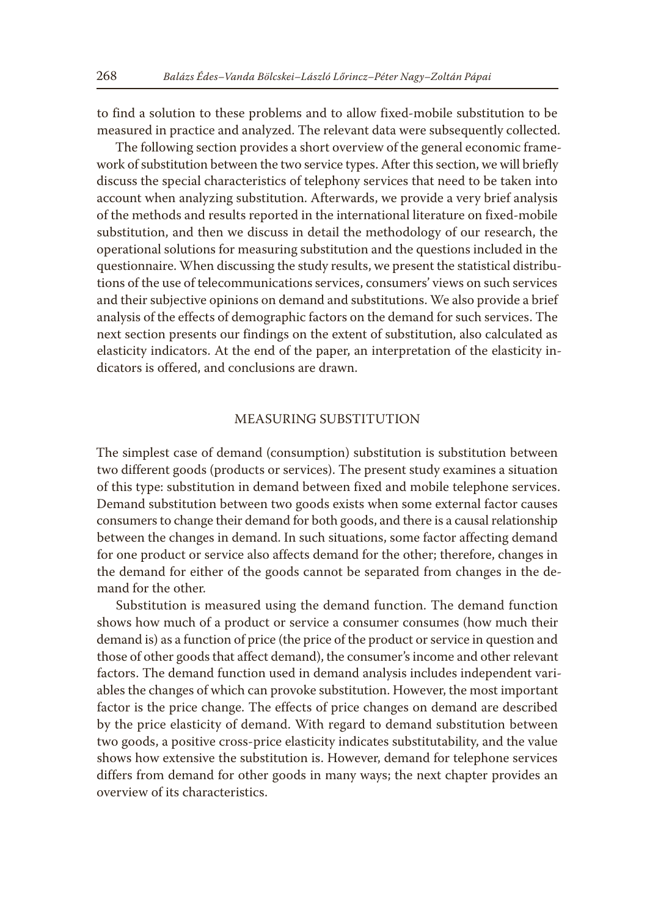to find a solution to these problems and to allow fixed-mobile substitution to be measured in practice and analyzed. The relevant data were subsequently collected.

The following section provides a short overview of the general economic framework of substitution between the two service types. After this section, we will briefly discuss the special characteristics of telephony services that need to be taken into account when analyzing substitution. Afterwards, we provide a very brief analysis of the methods and results reported in the international literature on fixed-mobile substitution, and then we discuss in detail the methodology of our research, the operational solutions for measuring substitution and the questions included in the questionnaire. When discussing the study results, we present the statistical distributions of the use of telecommunications services, consumers' views on such services and their subjective opinions on demand and substitutions. We also provide a brief analysis of the effects of demographic factors on the demand for such services. The next section presents our findings on the extent of substitution, also calculated as elasticity indicators. At the end of the paper, an interpretation of the elasticity indicators is offered, and conclusions are drawn.

# MEASURING SUBSTITUTION

The simplest case of demand (consumption) substitution is substitution between two different goods (products or services). The present study examines a situation of this type: substitution in demand between fixed and mobile telephone services. Demand substitution between two goods exists when some external factor causes consumers to change their demand for both goods, and there is a causal relationship between the changes in demand. In such situations, some factor affecting demand for one product or service also affects demand for the other; therefore, changes in the demand for either of the goods cannot be separated from changes in the demand for the other.

Substitution is measured using the demand function. The demand function shows how much of a product or service a consumer consumes (how much their demand is) as a function of price (the price of the product or service in question and those of other goods that affect demand), the consumer's income and other relevant factors. The demand function used in demand analysis includes independent variables the changes of which can provoke substitution. However, the most important factor is the price change. The effects of price changes on demand are described by the price elasticity of demand. With regard to demand substitution between two goods, a positive cross-price elasticity indicates substitutability, and the value shows how extensive the substitution is. However, demand for telephone services differs from demand for other goods in many ways; the next chapter provides an overview of its characteristics.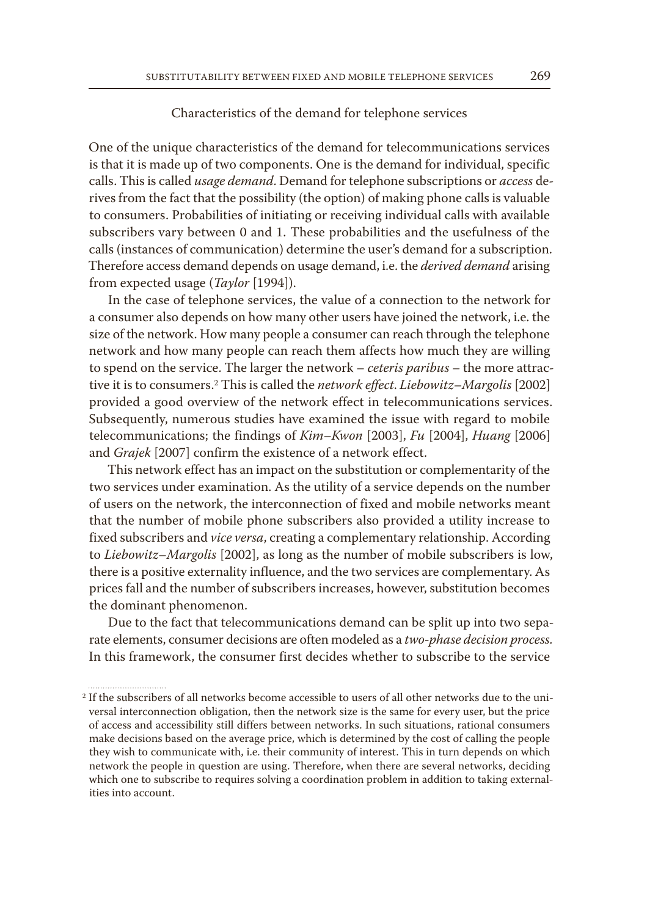## Characteristics of the demand for telephone services

One of the unique characteristics of the demand for telecommunications services is that it is made up of two components. One is the demand for individual, specific calls. This is called *usage demand*. Demand for telephone subscriptions or *access* derives from the fact that the possibility (the option) of making phone calls is valuable to consumers. Probabilities of initiating or receiving individual calls with available subscribers vary between 0 and 1. These probabilities and the usefulness of the calls (instances of communication) determine the user's demand for a subscription. Therefore access demand depends on usage demand, i.e. the *derived demand* arising from expected usage (*Taylor* [1994]).

In the case of telephone services, the value of a connection to the network for a consumer also depends on how many other users have joined the network, i.e. the size of the network. How many people a consumer can reach through the telephone network and how many people can reach them affects how much they are willing to spend on the service. The larger the network – *ceteris paribus –* the more attractive it is to consumers.2 This is called the *network effect*. *Liebowitz*–*Margolis* [2002] provided a good overview of the network effect in telecommunications services. Subsequently, numerous studies have examined the issue with regard to mobile telecommunications; the findings of *Kim–Kwon* [2003], *Fu* [2004], *Huang* [2006] and *Grajek* [2007] confirm the existence of a network effect.

This network effect has an impact on the substitution or complementarity of the two services under examination. As the utility of a service depends on the number of users on the network, the interconnection of fixed and mobile networks meant that the number of mobile phone subscribers also provided a utility increase to fixed subscribers and *vice versa*, creating a complementary relationship. According to *Liebowitz*–*Margolis* [2002], as long as the number of mobile subscribers is low, there is a positive externality influence, and the two services are complementary. As prices fall and the number of subscribers increases, however, substitution becomes the dominant phenomenon.

Due to the fact that telecommunications demand can be split up into two separate elements, consumer decisions are often modeled as a *two-phase decision process*. In this framework, the consumer first decides whether to subscribe to the service

<sup>2</sup> If the subscribers of all networks become accessible to users of all other networks due to the universal interconnection obligation, then the network size is the same for every user, but the price of access and accessibility still differs between networks. In such situations, rational consumers make decisions based on the average price, which is determined by the cost of calling the people they wish to communicate with, i.e. their community of interest. This in turn depends on which network the people in question are using. Therefore, when there are several networks, deciding which one to subscribe to requires solving a coordination problem in addition to taking externalities into account.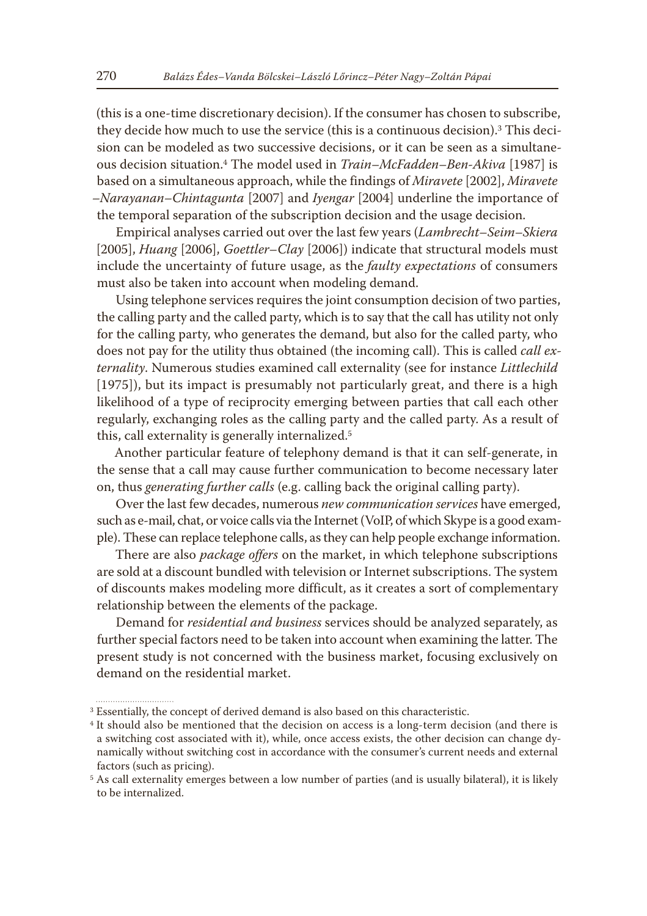(this is a one-time discretionary decision). If the consumer has chosen to subscribe, they decide how much to use the service (this is a continuous decision).3 This decision can be modeled as two successive decisions, or it can be seen as a simultaneous decision situation.4 The model used in *Train–McFadden–Ben-Akiva* [1987] is based on a simultaneous approach, while the findings of *Miravete* [2002], *Miravete –Narayanan–Chintagunta* [2007] and *Iyengar* [2004] underline the importance of the temporal separation of the subscription decision and the usage decision.

Empirical analyses carried out over the last few years (*Lambrecht*–*Seim–Skiera*  [2005], *Huang* [2006], *Goettler*–*Clay* [2006]) indicate that structural models must include the uncertainty of future usage, as the *faulty expectations* of consumers must also be taken into account when modeling demand.

Using telephone services requires the joint consumption decision of two parties, the calling party and the called party, which is to say that the call has utility not only for the calling party, who generates the demand, but also for the called party, who does not pay for the utility thus obtained (the incoming call). This is called *call externality*. Numerous studies examined call externality (see for instance *Littlechild* [1975]), but its impact is presumably not particularly great, and there is a high likelihood of a type of reciprocity emerging between parties that call each other regularly, exchanging roles as the calling party and the called party. As a result of this, call externality is generally internalized.5

Another particular feature of telephony demand is that it can self-generate, in the sense that a call may cause further communication to become necessary later on, thus *generating further calls* (e.g. calling back the original calling party).

Over the last few decades, numerous *new communication services* have emerged, such as e-mail, chat, or voice calls via the Internet (VoIP, of which Skype is a good example). These can replace telephone calls, as they can help people exchange information.

There are also *package offers* on the market, in which telephone subscriptions are sold at a discount bundled with television or Internet subscriptions. The system of discounts makes modeling more difficult, as it creates a sort of complementary relationship between the elements of the package.

Demand for *residential and business* services should be analyzed separately, as further special factors need to be taken into account when examining the latter. The present study is not concerned with the business market, focusing exclusively on demand on the residential market.

<sup>&</sup>lt;sup>3</sup> Essentially, the concept of derived demand is also based on this characteristic.

<sup>4</sup> It should also be mentioned that the decision on access is a long-term decision (and there is a switching cost associated with it), while, once access exists, the other decision can change dynamically without switching cost in accordance with the consumer's current needs and external factors (such as pricing).

<sup>5</sup> As call externality emerges between a low number of parties (and is usually bilateral), it is likely to be internalized.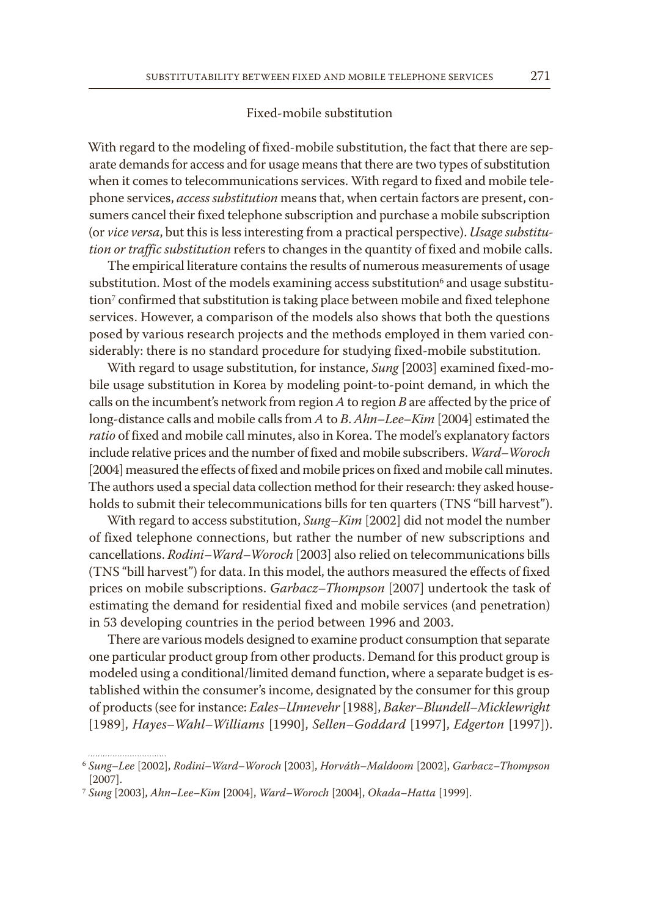## Fixed-mobile substitution

With regard to the modeling of fixed-mobile substitution, the fact that there are separate demands for access and for usage means that there are two types of substitution when it comes to telecommunications services. With regard to fixed and mobile telephone services, *access substitution* means that, when certain factors are present, consumers cancel their fixed telephone subscription and purchase a mobile subscription (or *vice versa*, but this is less interesting from a practical perspective). *Usage substitution or traffic substitution* refers to changes in the quantity of fixed and mobile calls.

The empirical literature contains the results of numerous measurements of usage substitution. Most of the models examining access substitution<sup>6</sup> and usage substitution7 confirmed that substitution is taking place between mobile and fixed telephone services. However, a comparison of the models also shows that both the questions posed by various research projects and the methods employed in them varied considerably: there is no standard procedure for studying fixed-mobile substitution.

With regard to usage substitution, for instance, *Sung* [2003] examined fixed-mobile usage substitution in Korea by modeling point-to-point demand, in which the calls on the incumbent's network from region *A* to region *B* are affected by the price of long-distance calls and mobile calls from *A* to *B*. *Ahn–Lee–Kim* [2004] estimated the *ratio* of fixed and mobile call minutes, also in Korea. The model's explanatory factors include relative prices and the number of fixed and mobile subscribers. *Ward–Woroch* [2004] measured the effects of fixed and mobile prices on fixed and mobile call minutes. The authors used a special data collection method for their research: they asked households to submit their telecommunications bills for ten quarters (TNS "bill harvest").

With regard to access substitution, *Sung–Kim* [2002] did not model the number of fixed telephone connections, but rather the number of new subscriptions and cancellations. *Rodini–Ward–Woroch* [2003] also relied on telecommunications bills (TNS "bill harvest") for data. In this model, the authors measured the effects of fixed prices on mobile subscriptions. *Garbacz–Thompson* [2007] undertook the task of estimating the demand for residential fixed and mobile services (and penetration) in 53 developing countries in the period between 1996 and 2003.

There are various models designed to examine product consumption that separate one particular product group from other products. Demand for this product group is modeled using a conditional/limited demand function, where a separate budget is established within the consumer's income, designated by the consumer for this group of products (see for instance: *Eales–Unnevehr* [1988], *Baker–Blundell–Micklewright* [1989], *Hayes–Wahl–Williams* [1990], *Sellen–Goddard* [1997], *Edgerton* [1997]).

<sup>6</sup> *Sung–Lee* [2002], *Rodini–Ward–Woroch* [2003], *Horváth–Maldoom* [2002], *Garbacz–Thompson* [2007].

<sup>7</sup> *Sung* [2003], *Ahn–Lee–Kim* [2004], *Ward–Woroch* [2004], *Okada–Hatta* [1999].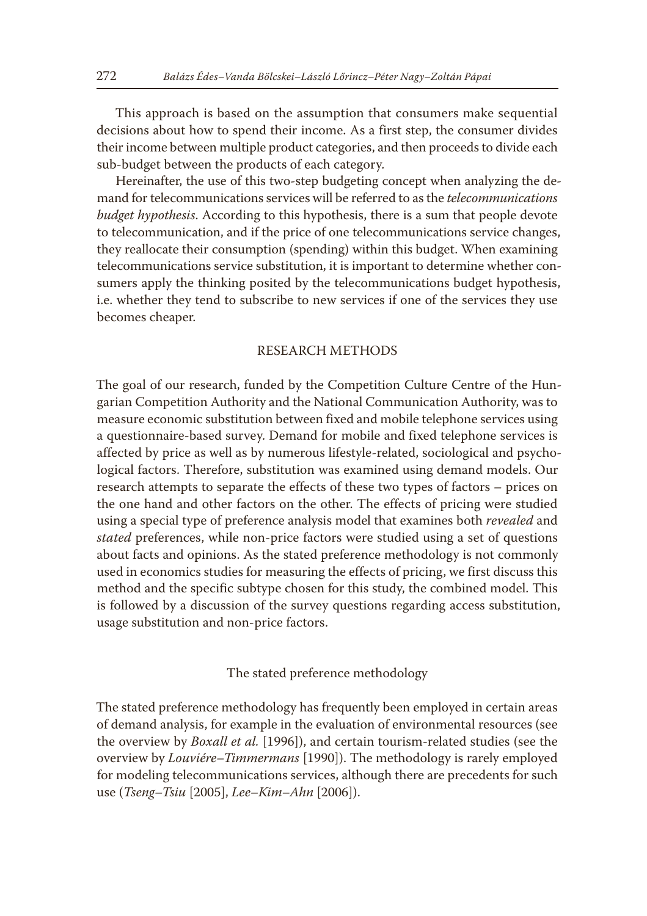This approach is based on the assumption that consumers make sequential decisions about how to spend their income. As a first step, the consumer divides their income between multiple product categories, and then proceeds to divide each sub-budget between the products of each category.

Hereinafter, the use of this two-step budgeting concept when analyzing the demand for telecommunications services will be referred to as the *telecommunications budget hypothesis*. According to this hypothesis, there is a sum that people devote to telecommunication, and if the price of one telecommunications service changes, they reallocate their consumption (spending) within this budget. When examining telecommunications service substitution, it is important to determine whether consumers apply the thinking posited by the telecommunications budget hypothesis, i.e. whether they tend to subscribe to new services if one of the services they use becomes cheaper.

# RESEARCH METHODS

The goal of our research, funded by the Competition Culture Centre of the Hungarian Competition Authority and the National Communication Authority, was to measure economic substitution between fixed and mobile telephone services using a questionnaire-based survey. Demand for mobile and fixed telephone services is affected by price as well as by numerous lifestyle-related, sociological and psychological factors. Therefore, substitution was examined using demand models. Our research attempts to separate the effects of these two types of factors – prices on the one hand and other factors on the other. The effects of pricing were studied using a special type of preference analysis model that examines both *revealed* and *stated* preferences, while non-price factors were studied using a set of questions about facts and opinions. As the stated preference methodology is not commonly used in economics studies for measuring the effects of pricing, we first discuss this method and the specific subtype chosen for this study, the combined model. This is followed by a discussion of the survey questions regarding access substitution, usage substitution and non-price factors.

The stated preference methodology

The stated preference methodology has frequently been employed in certain areas of demand analysis, for example in the evaluation of environmental resources (see the overview by *Boxall et al.* [1996]), and certain tourism-related studies (see the overview by *Louviére–Timmermans* [1990]). The methodology is rarely employed for modeling telecommunications services, although there are precedents for such use (*Tseng–Tsiu* [2005], *Lee–Kim–Ahn* [2006]).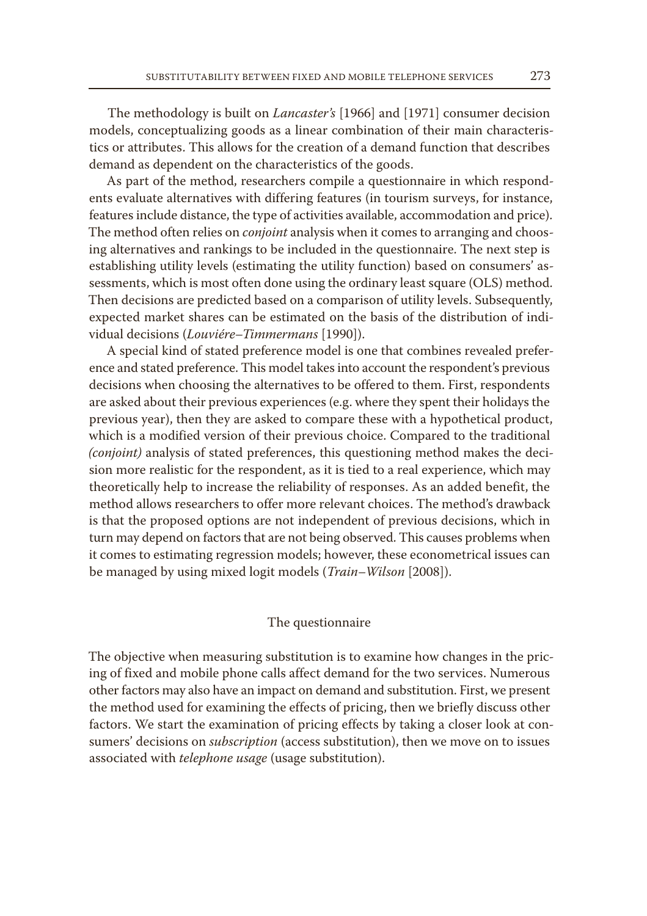The methodology is built on *Lancaster's* [1966] and [1971] consumer decision models, conceptualizing goods as a linear combination of their main characteristics or attributes. This allows for the creation of a demand function that describes demand as dependent on the characteristics of the goods.

As part of the method, researchers compile a questionnaire in which respondents evaluate alternatives with differing features (in tourism surveys, for instance, features include distance, the type of activities available, accommodation and price). The method often relies on *conjoint* analysis when it comes to arranging and choosing alternatives and rankings to be included in the questionnaire. The next step is establishing utility levels (estimating the utility function) based on consumers' assessments, which is most often done using the ordinary least square (OLS) method. Then decisions are predicted based on a comparison of utility levels. Subsequently, expected market shares can be estimated on the basis of the distribution of individual decisions (*Louviére–Timmermans* [1990]).

A special kind of stated preference model is one that combines revealed preference and stated preference. This model takes into account the respondent's previous decisions when choosing the alternatives to be offered to them. First, respondents are asked about their previous experiences (e.g. where they spent their holidays the previous year), then they are asked to compare these with a hypothetical product, which is a modified version of their previous choice. Compared to the traditional *(conjoint)* analysis of stated preferences, this questioning method makes the decision more realistic for the respondent, as it is tied to a real experience, which may theoretically help to increase the reliability of responses. As an added benefit, the method allows researchers to offer more relevant choices. The method's drawback is that the proposed options are not independent of previous decisions, which in turn may depend on factors that are not being observed. This causes problems when it comes to estimating regression models; however, these econometrical issues can be managed by using mixed logit models (*Train–Wilson* [2008]).

## The questionnaire

The objective when measuring substitution is to examine how changes in the pricing of fixed and mobile phone calls affect demand for the two services. Numerous other factors may also have an impact on demand and substitution. First, we present the method used for examining the effects of pricing, then we briefly discuss other factors. We start the examination of pricing effects by taking a closer look at consumers' decisions on *subscription* (access substitution), then we move on to issues associated with *telephone usage* (usage substitution).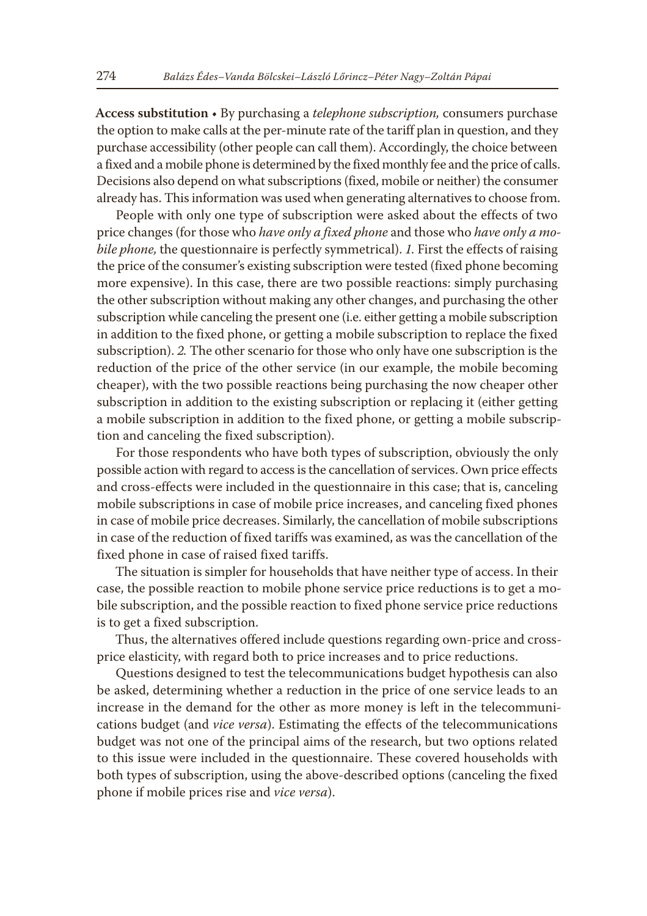**Access substitution** • By purchasing a *telephone subscription,* consumers purchase the option to make calls at the per-minute rate of the tariff plan in question, and they purchase accessibility (other people can call them). Accordingly, the choice between a fixed and a mobile phone is determined by the fixed monthly fee and the price of calls. Decisions also depend on what subscriptions (fixed, mobile or neither) the consumer already has. This information was used when generating alternatives to choose from.

People with only one type of subscription were asked about the effects of two price changes (for those who *have only a fixed phone* and those who *have only a mobile phone,* the questionnaire is perfectly symmetrical). *1.* First the effects of raising the price of the consumer's existing subscription were tested (fixed phone becoming more expensive). In this case, there are two possible reactions: simply purchasing the other subscription without making any other changes, and purchasing the other subscription while canceling the present one (i.e. either getting a mobile subscription in addition to the fixed phone, or getting a mobile subscription to replace the fixed subscription). *2.* The other scenario for those who only have one subscription is the reduction of the price of the other service (in our example, the mobile becoming cheaper), with the two possible reactions being purchasing the now cheaper other subscription in addition to the existing subscription or replacing it (either getting a mobile subscription in addition to the fixed phone, or getting a mobile subscription and canceling the fixed subscription).

For those respondents who have both types of subscription, obviously the only possible action with regard to access is the cancellation of services. Own price effects and cross-effects were included in the questionnaire in this case; that is, canceling mobile subscriptions in case of mobile price increases, and canceling fixed phones in case of mobile price decreases. Similarly, the cancellation of mobile subscriptions in case of the reduction of fixed tariffs was examined, as was the cancellation of the fixed phone in case of raised fixed tariffs.

The situation is simpler for households that have neither type of access. In their case, the possible reaction to mobile phone service price reductions is to get a mobile subscription, and the possible reaction to fixed phone service price reductions is to get a fixed subscription.

Thus, the alternatives offered include questions regarding own-price and crossprice elasticity, with regard both to price increases and to price reductions.

Questions designed to test the telecommunications budget hypothesis can also be asked, determining whether a reduction in the price of one service leads to an increase in the demand for the other as more money is left in the telecommunications budget (and *vice versa*). Estimating the effects of the telecommunications budget was not one of the principal aims of the research, but two options related to this issue were included in the questionnaire. These covered households with both types of subscription, using the above-described options (canceling the fixed phone if mobile prices rise and *vice versa*).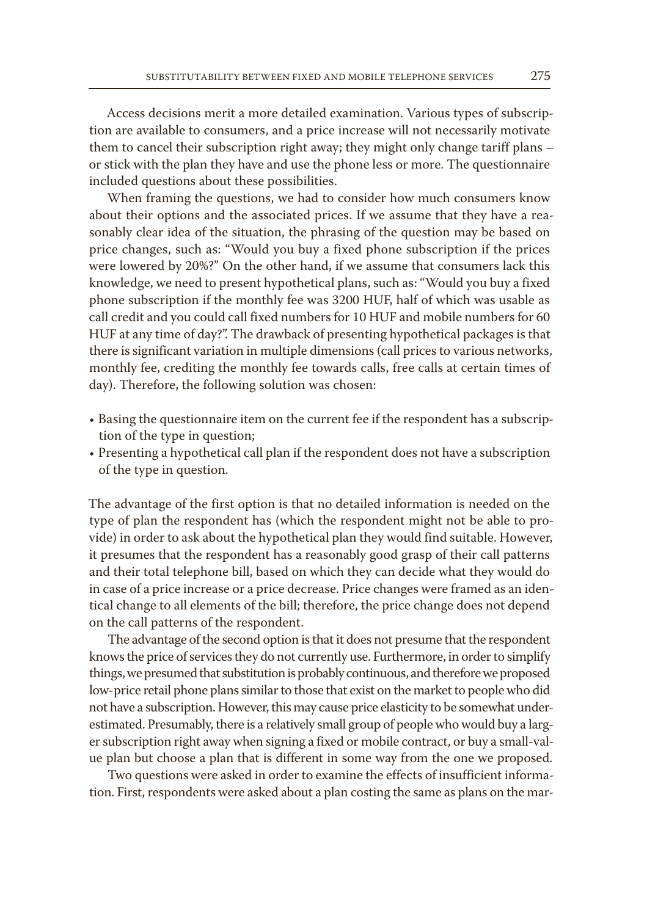Access decisions merit a more detailed examination. Various types of subscription are available to consumers, and a price increase will not necessarily motivate them to cancel their subscription right away; they might only change tariff plans – or stick with the plan they have and use the phone less or more. The questionnaire included questions about these possibilities.

When framing the questions, we had to consider how much consumers know about their options and the associated prices. If we assume that they have a reasonably clear idea of the situation, the phrasing of the question may be based on price changes, such as: "Would you buy a fixed phone subscription if the prices were lowered by 20%?" On the other hand, if we assume that consumers lack this knowledge, we need to present hypothetical plans, such as: "Would you buy a fixed phone subscription if the monthly fee was 3200 HUF, half of which was usable as call credit and you could call fixed numbers for 10 HUF and mobile numbers for 60 HUF at any time of day?". The drawback of presenting hypothetical packages is that there is significant variation in multiple dimensions (call prices to various networks, monthly fee, crediting the monthly fee towards calls, free calls at certain times of day). Therefore, the following solution was chosen:

- Basing the questionnaire item on the current fee if the respondent has a subscription of the type in question;
- Presenting a hypothetical call plan if the respondent does not have a subscription of the type in question.

The advantage of the first option is that no detailed information is needed on the type of plan the respondent has (which the respondent might not be able to provide) in order to ask about the hypothetical plan they would find suitable. However, it presumes that the respondent has a reasonably good grasp of their call patterns and their total telephone bill, based on which they can decide what they would do in case of a price increase or a price decrease. Price changes were framed as an identical change to all elements of the bill; therefore, the price change does not depend on the call patterns of the respondent.

The advantage of the second option is that it does not presume that the respondent knows the price of services they do not currently use. Furthermore, in order to simplify things, we presumed that substitution is probably continuous, and therefore we proposed low-price retail phone plans similar to those that exist on the market to people who did not have a subscription. However, this may cause price elasticity to be somewhat underestimated. Presumably, there is a relatively small group of people who would buy a larger subscription right away when signing a fixed or mobile contract, or buy a small-value plan but choose a plan that is different in some way from the one we proposed.

Two questions were asked in order to examine the effects of insufficient information. First, respondents were asked about a plan costing the same as plans on the mar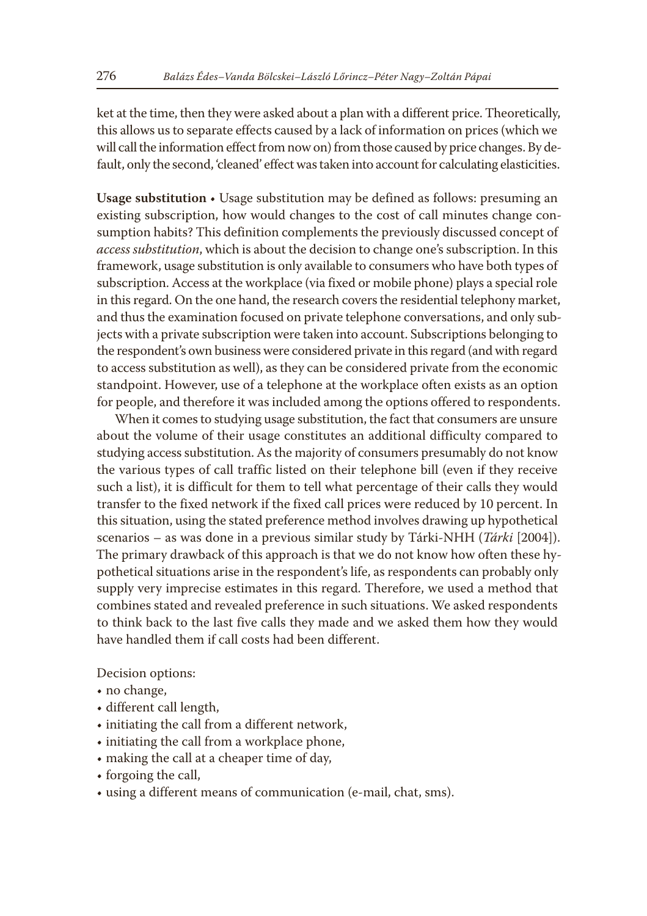ket at the time, then they were asked about a plan with a different price. Theoretically, this allows us to separate effects caused by a lack of information on prices (which we will call the information effect from now on) from those caused by price changes. By default, only the second, 'cleaned' effect was taken into account for calculating elasticities.

**Usage substitution** • Usage substitution may be defined as follows: presuming an existing subscription, how would changes to the cost of call minutes change consumption habits? This definition complements the previously discussed concept of *access substitution*, which is about the decision to change one's subscription. In this framework, usage substitution is only available to consumers who have both types of subscription. Access at the workplace (via fixed or mobile phone) plays a special role in this regard. On the one hand, the research covers the residential telephony market, and thus the examination focused on private telephone conversations, and only subjects with a private subscription were taken into account. Subscriptions belonging to the respondent's own business were considered private in this regard (and with regard to access substitution as well), as they can be considered private from the economic standpoint. However, use of a telephone at the workplace often exists as an option for people, and therefore it was included among the options offered to respondents.

When it comes to studying usage substitution, the fact that consumers are unsure about the volume of their usage constitutes an additional difficulty compared to studying access substitution. As the majority of consumers presumably do not know the various types of call traffic listed on their telephone bill (even if they receive such a list), it is difficult for them to tell what percentage of their calls they would transfer to the fixed network if the fixed call prices were reduced by 10 percent. In this situation, using the stated preference method involves drawing up hypothetical scenarios – as was done in a previous similar study by Tárki-NHH (*Tárki* [2004]). The primary drawback of this approach is that we do not know how often these hypothetical situations arise in the respondent's life, as respondents can probably only supply very imprecise estimates in this regard. Therefore, we used a method that combines stated and revealed preference in such situations. We asked respondents to think back to the last five calls they made and we asked them how they would have handled them if call costs had been different.

Decision options:

- no change,
- different call length,
- initiating the call from a different network,
- initiating the call from a workplace phone,
- making the call at a cheaper time of day,
- forgoing the call,
- using a different means of communication (e-mail, chat, sms).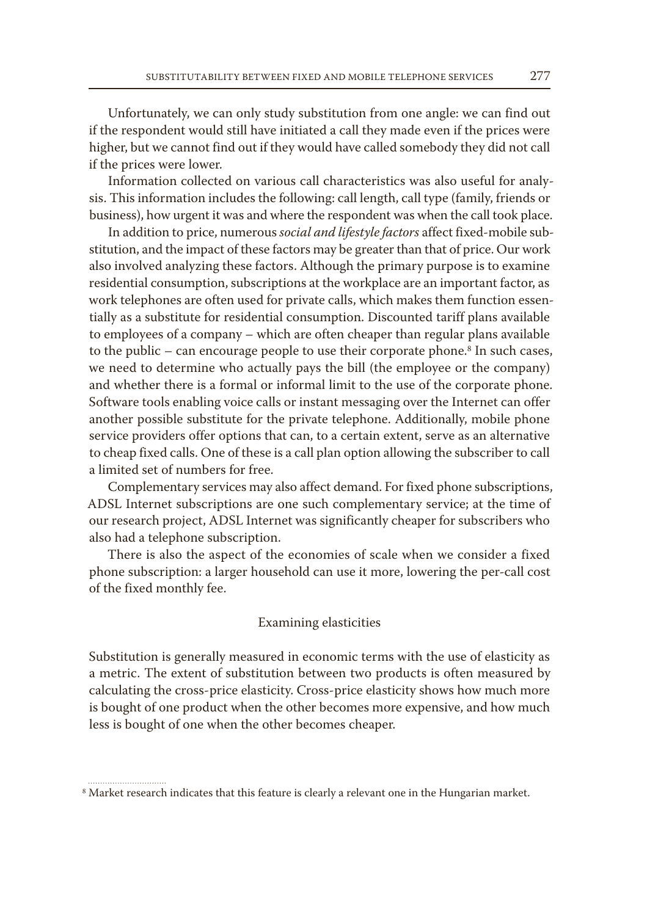Unfortunately, we can only study substitution from one angle: we can find out if the respondent would still have initiated a call they made even if the prices were higher, but we cannot find out if they would have called somebody they did not call if the prices were lower.

Information collected on various call characteristics was also useful for analysis. This information includes the following: call length, call type (family, friends or business), how urgent it was and where the respondent was when the call took place.

In addition to price, numerous *social and lifestyle factors* affect fixed-mobile substitution, and the impact of these factors may be greater than that of price. Our work also involved analyzing these factors. Although the primary purpose is to examine residential consumption, subscriptions at the workplace are an important factor, as work telephones are often used for private calls, which makes them function essentially as a substitute for residential consumption. Discounted tariff plans available to employees of a company – which are often cheaper than regular plans available to the public – can encourage people to use their corporate phone. $8$  In such cases, we need to determine who actually pays the bill (the employee or the company) and whether there is a formal or informal limit to the use of the corporate phone. Software tools enabling voice calls or instant messaging over the Internet can offer another possible substitute for the private telephone. Additionally, mobile phone service providers offer options that can, to a certain extent, serve as an alternative to cheap fixed calls. One of these is a call plan option allowing the subscriber to call a limited set of numbers for free.

Complementary services may also affect demand. For fixed phone subscriptions, ADSL Internet subscriptions are one such complementary service; at the time of our research project, ADSL Internet was significantly cheaper for subscribers who also had a telephone subscription.

There is also the aspect of the economies of scale when we consider a fixed phone subscription: a larger household can use it more, lowering the per-call cost of the fixed monthly fee.

## Examining elasticities

Substitution is generally measured in economic terms with the use of elasticity as a metric. The extent of substitution between two products is often measured by calculating the cross-price elasticity. Cross-price elasticity shows how much more is bought of one product when the other becomes more expensive, and how much less is bought of one when the other becomes cheaper.

<sup>8</sup> Market research indicates that this feature is clearly a relevant one in the Hungarian market.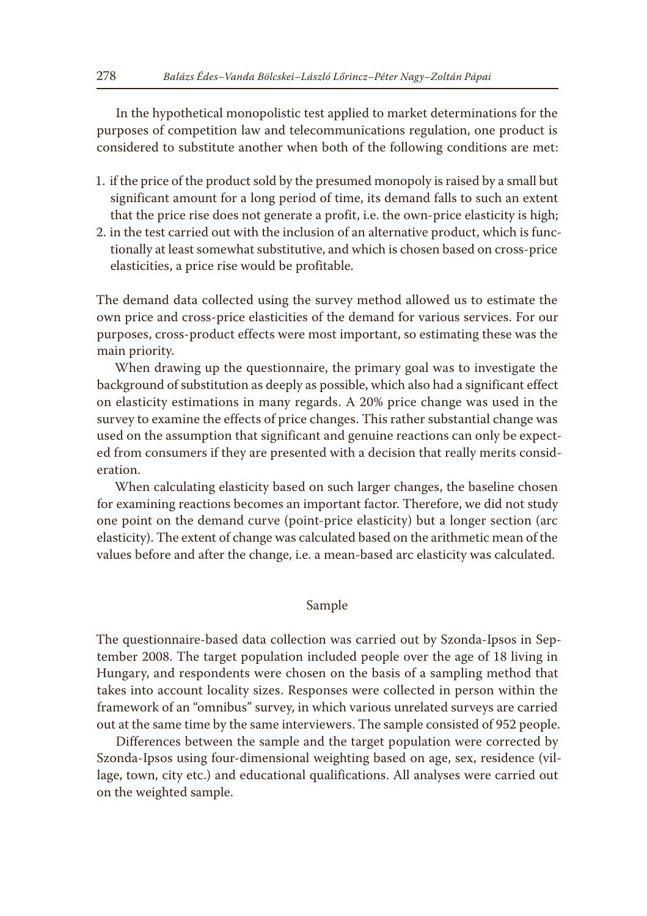In the hypothetical monopolistic test applied to market determinations for the purposes of competition law and telecommunications regulation, one product is considered to substitute another when both of the following conditions are met:

- 1. if the price of the product sold by the presumed monopoly is raised by a small but significant amount for a long period of time, its demand falls to such an extent that the price rise does not generate a profit, i.e. the own-price elasticity is high;
- 2. in the test carried out with the inclusion of an alternative product, which is functionally at least somewhat substitutive, and which is chosen based on cross-price elasticities, a price rise would be profitable.

The demand data collected using the survey method allowed us to estimate the own price and cross-price elasticities of the demand for various services. For our purposes, cross-product effects were most important, so estimating these was the main priority.

When drawing up the questionnaire, the primary goal was to investigate the background of substitution as deeply as possible, which also had a significant effect on elasticity estimations in many regards. A 20% price change was used in the survey to examine the effects of price changes. This rather substantial change was used on the assumption that significant and genuine reactions can only be expected from consumers if they are presented with a decision that really merits consideration.

When calculating elasticity based on such larger changes, the baseline chosen for examining reactions becomes an important factor. Therefore, we did not study one point on the demand curve (point-price elasticity) but a longer section (arc elasticity). The extent of change was calculated based on the arithmetic mean of the values before and after the change, i.e. a mean-based arc elasticity was calculated.

# Sample

The questionnaire-based data collection was carried out by Szonda-Ipsos in September 2008. The target population included people over the age of 18 living in Hungary, and respondents were chosen on the basis of a sampling method that takes into account locality sizes. Responses were collected in person within the framework of an "omnibus" survey, in which various unrelated surveys are carried out at the same time by the same interviewers. The sample consisted of 952 people.

Differences between the sample and the target population were corrected by Szonda-Ipsos using four-dimensional weighting based on age, sex, residence (village, town, city etc.) and educational qualifications. All analyses were carried out on the weighted sample.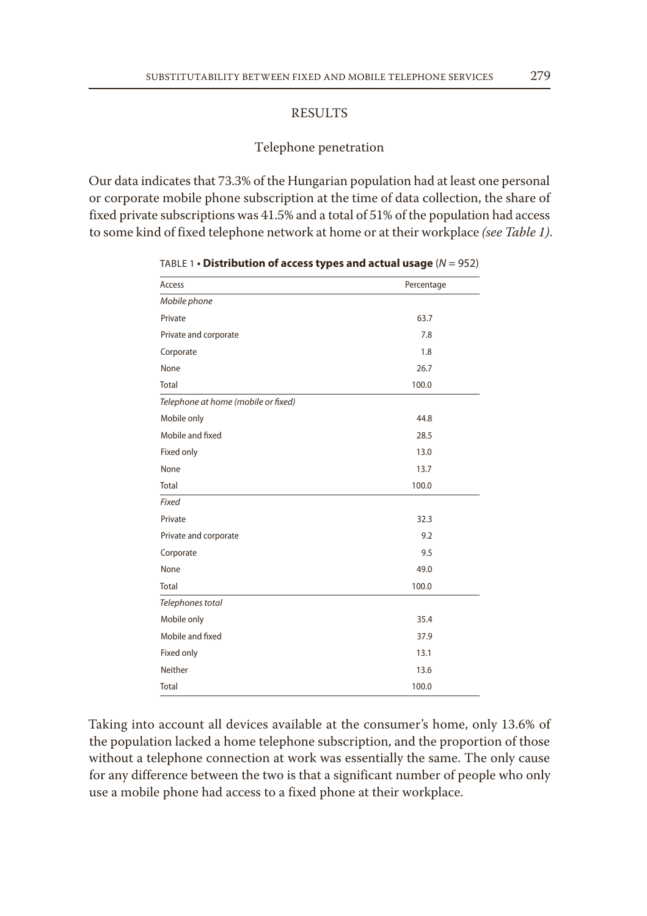# RESULTS

# Telephone penetration

Our data indicates that 73.3% of the Hungarian population had at least one personal or corporate mobile phone subscription at the time of data collection, the share of fixed private subscriptions was 41.5% and a total of 51% of the population had access to some kind of fixed telephone network at home or at their workplace *(see Table 1)*.

| Access                              | Percentage |
|-------------------------------------|------------|
| Mobile phone                        |            |
| Private                             | 63.7       |
| Private and corporate               | 7.8        |
| Corporate                           | 1.8        |
| None                                | 26.7       |
| Total                               | 100.0      |
| Telephone at home (mobile or fixed) |            |
| Mobile only                         | 44.8       |
| Mobile and fixed                    | 28.5       |
| Fixed only                          | 13.0       |
| None                                | 13.7       |
| Total                               | 100.0      |
| Fixed                               |            |
| Private                             | 32.3       |
| Private and corporate               | 9.2        |
| Corporate                           | 9.5        |
| None                                | 49.0       |
| Total                               | 100.0      |
| Telephones total                    |            |
| Mobile only                         | 35.4       |
| Mobile and fixed                    | 37.9       |
| Fixed only                          | 13.1       |
| Neither                             | 13.6       |
| <b>Total</b>                        | 100.0      |

TABLE 1 **• Distribution of access types and actual usage** (*N* = 952)

Taking into account all devices available at the consumer's home, only 13.6% of the population lacked a home telephone subscription, and the proportion of those without a telephone connection at work was essentially the same. The only cause for any difference between the two is that a significant number of people who only use a mobile phone had access to a fixed phone at their workplace.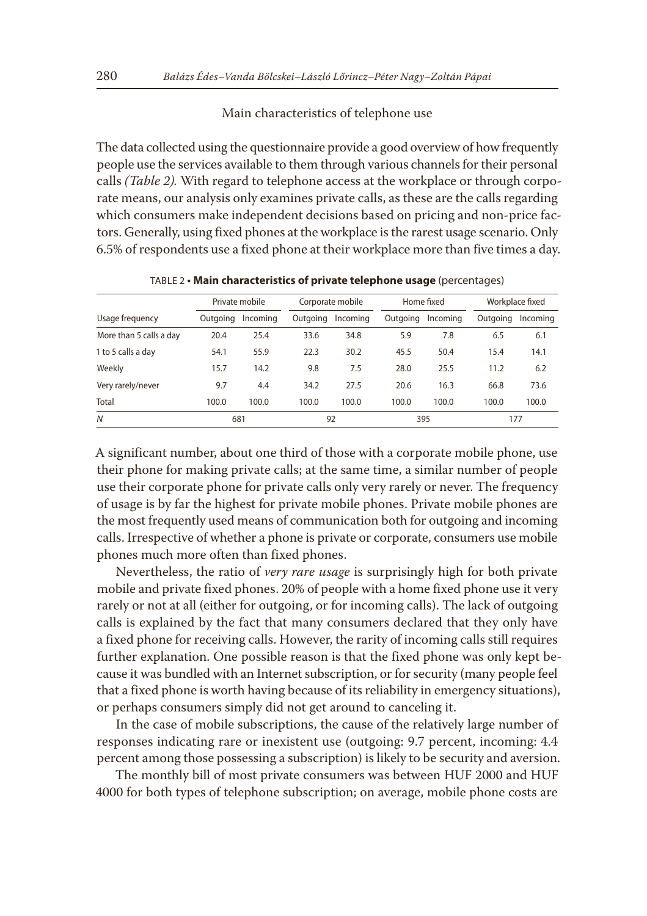# Main characteristics of telephone use

The data collected using the questionnaire provide a good overview of how frequently people use the services available to them through various channels for their personal calls *(Table 2).* With regard to telephone access at the workplace or through corporate means, our analysis only examines private calls, as these are the calls regarding which consumers make independent decisions based on pricing and non-price factors. Generally, using fixed phones at the workplace is the rarest usage scenario. Only 6.5% of respondents use a fixed phone at their workplace more than five times a day.

|                         |          | Private mobile |          | Corporate mobile |          | Home fixed |          | Workplace fixed |
|-------------------------|----------|----------------|----------|------------------|----------|------------|----------|-----------------|
| Usage frequency         | Outgoing | Incoming       | Outgoing | Incomina         | Outgoing | Incomina   | Outgoing | Incoming        |
| More than 5 calls a day | 20.4     | 25.4           | 33.6     | 34.8             | 5.9      | 7.8        | 6.5      | 6.1             |
| 1 to 5 calls a day      | 54.1     | 55.9           | 22.3     | 30.2             | 45.5     | 50.4       | 15.4     | 14.1            |
| Weekly                  | 15.7     | 14.2           | 9.8      | 7.5              | 28.0     | 25.5       | 11.2     | 6.2             |
| Very rarely/never       | 9.7      | 4.4            | 34.2     | 27.5             | 20.6     | 16.3       | 66.8     | 73.6            |
| Total                   | 100.0    | 100.0          | 100.0    | 100.0            | 100.0    | 100.0      | 100.0    | 100.0           |
| $\overline{N}$          | 681      |                |          | 92               |          | 395        |          | 177             |

TABLE 2 **• Main characteristics of private telephone usage** (percentages)

A significant number, about one third of those with a corporate mobile phone, use their phone for making private calls; at the same time, a similar number of people use their corporate phone for private calls only very rarely or never. The frequency of usage is by far the highest for private mobile phones. Private mobile phones are the most frequently used means of communication both for outgoing and incoming calls. Irrespective of whether a phone is private or corporate, consumers use mobile phones much more often than fixed phones.

Nevertheless, the ratio of *very rare usage* is surprisingly high for both private mobile and private fixed phones. 20% of people with a home fixed phone use it very rarely or not at all (either for outgoing, or for incoming calls). The lack of outgoing calls is explained by the fact that many consumers declared that they only have a fixed phone for receiving calls. However, the rarity of incoming calls still requires further explanation. One possible reason is that the fixed phone was only kept because it was bundled with an Internet subscription, or for security (many people feel that a fixed phone is worth having because of its reliability in emergency situations), or perhaps consumers simply did not get around to canceling it.

In the case of mobile subscriptions, the cause of the relatively large number of responses indicating rare or inexistent use (outgoing: 9.7 percent, incoming: 4.4 percent among those possessing a subscription) is likely to be security and aversion.

The monthly bill of most private consumers was between HUF 2000 and HUF 4000 for both types of telephone subscription; on average, mobile phone costs are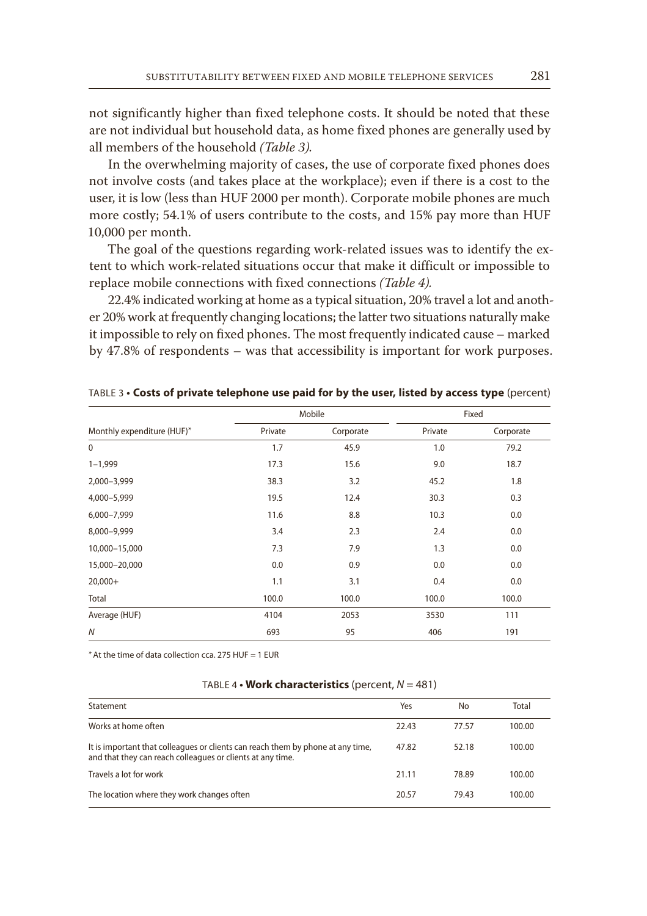not significantly higher than fixed telephone costs. It should be noted that these are not individual but household data, as home fixed phones are generally used by all members of the household *(Table 3).*

In the overwhelming majority of cases, the use of corporate fixed phones does not involve costs (and takes place at the workplace); even if there is a cost to the user, it is low (less than HUF 2000 per month). Corporate mobile phones are much more costly; 54.1% of users contribute to the costs, and 15% pay more than HUF 10,000 per month.

The goal of the questions regarding work-related issues was to identify the extent to which work-related situations occur that make it difficult or impossible to replace mobile connections with fixed connections *(Table 4).*

22.4% indicated working at home as a typical situation, 20% travel a lot and another 20% work at frequently changing locations; the latter two situations naturally make it impossible to rely on fixed phones. The most frequently indicated cause – marked by 47.8% of respondents – was that accessibility is important for work purposes.

|                            |         | Mobile    |         | Fixed     |
|----------------------------|---------|-----------|---------|-----------|
| Monthly expenditure (HUF)* | Private | Corporate | Private | Corporate |
| $\mathbf 0$                | 1.7     | 45.9      | 1.0     | 79.2      |
| $1 - 1,999$                | 17.3    | 15.6      | 9.0     | 18.7      |
| 2,000-3,999                | 38.3    | 3.2       | 45.2    | 1.8       |
| 4,000-5,999                | 19.5    | 12.4      | 30.3    | 0.3       |
| 6,000-7,999                | 11.6    | 8.8       | 10.3    | 0.0       |
| 8,000-9,999                | 3.4     | 2.3       | 2.4     | 0.0       |
| 10,000-15,000              | 7.3     | 7.9       | 1.3     | 0.0       |
| 15,000-20,000              | 0.0     | 0.9       | 0.0     | 0.0       |
| $20,000+$                  | 1.1     | 3.1       | 0.4     | 0.0       |
| Total                      | 100.0   | 100.0     | 100.0   | 100.0     |
| Average (HUF)              | 4104    | 2053      | 3530    | 111       |
| $\mathcal N$               | 693     | 95        | 406     | 191       |

TABLE 3 **• Costs of private telephone use paid for by the user, listed by access type** (percent)

 $*$  At the time of data collection cca. 275 HUF = 1 EUR

#### TABLE 4 **• Work characteristics** (percent, *N* = 481)

| Statement                                                                                                                                     | Yes   | No    | Total  |
|-----------------------------------------------------------------------------------------------------------------------------------------------|-------|-------|--------|
| Works at home often                                                                                                                           | 22.43 | 77.57 | 100.00 |
| It is important that colleagues or clients can reach them by phone at any time,<br>and that they can reach colleagues or clients at any time. | 47.82 | 52.18 | 100.00 |
| Travels a lot for work                                                                                                                        | 21.11 | 78.89 | 100.00 |
| The location where they work changes often                                                                                                    | 20.57 | 79.43 | 100.00 |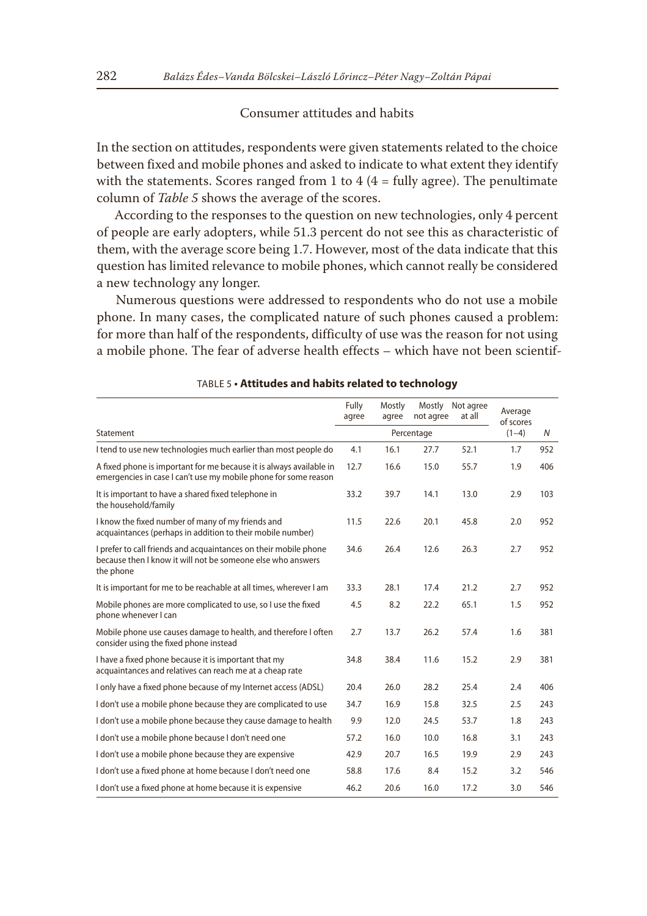# Consumer attitudes and habits

In the section on attitudes, respondents were given statements related to the choice between fixed and mobile phones and asked to indicate to what extent they identify with the statements. Scores ranged from 1 to  $4/4 =$  fully agree). The penultimate column of *Table 5* shows the average of the scores.

According to the responses to the question on new technologies, only 4 percent of people are early adopters, while 51.3 percent do not see this as characteristic of them, with the average score being 1.7. However, most of the data indicate that this question has limited relevance to mobile phones, which cannot really be considered a new technology any longer.

Numerous questions were addressed to respondents who do not use a mobile phone. In many cases, the complicated nature of such phones caused a problem: for more than half of the respondents, difficulty of use was the reason for not using a mobile phone. The fear of adverse health effects – which have not been scientif-

|                                                                                                                                              | Fully<br>agree | Mostly<br>agree | Mostly<br>not agree | Not agree<br>at all | Average<br>of scores |     |
|----------------------------------------------------------------------------------------------------------------------------------------------|----------------|-----------------|---------------------|---------------------|----------------------|-----|
| Statement                                                                                                                                    | Percentage     |                 |                     |                     | $(1-4)$              | N   |
| I tend to use new technologies much earlier than most people do                                                                              | 4.1            | 16.1            | 27.7                | 52.1                | 1.7                  | 952 |
| A fixed phone is important for me because it is always available in<br>emergencies in case I can't use my mobile phone for some reason       | 12.7           | 16.6            | 15.0                | 55.7                | 1.9                  | 406 |
| It is important to have a shared fixed telephone in<br>the household/family                                                                  | 33.2           | 39.7            | 14.1                | 13.0                | 2.9                  | 103 |
| I know the fixed number of many of my friends and<br>acquaintances (perhaps in addition to their mobile number)                              | 11.5           | 22.6            | 20.1                | 45.8                | 2.0                  | 952 |
| I prefer to call friends and acquaintances on their mobile phone<br>because then I know it will not be someone else who answers<br>the phone | 34.6           | 26.4            | 12.6                | 26.3                | 2.7                  | 952 |
| It is important for me to be reachable at all times, wherever I am                                                                           | 33.3           | 28.1            | 17.4                | 21.2                | 2.7                  | 952 |
| Mobile phones are more complicated to use, so I use the fixed<br>phone whenever I can                                                        | 4.5            | 8.2             | 22.2                | 65.1                | 1.5                  | 952 |
| Mobile phone use causes damage to health, and therefore I often<br>consider using the fixed phone instead                                    | 2.7            | 13.7            | 26.2                | 57.4                | 1.6                  | 381 |
| I have a fixed phone because it is important that my<br>acquaintances and relatives can reach me at a cheap rate                             | 34.8           | 38.4            | 11.6                | 15.2                | 2.9                  | 381 |
| I only have a fixed phone because of my Internet access (ADSL)                                                                               | 20.4           | 26.0            | 28.2                | 25.4                | 2.4                  | 406 |
| I don't use a mobile phone because they are complicated to use                                                                               | 34.7           | 16.9            | 15.8                | 32.5                | 2.5                  | 243 |
| I don't use a mobile phone because they cause damage to health                                                                               | 9.9            | 12.0            | 24.5                | 53.7                | 1.8                  | 243 |
| I don't use a mobile phone because I don't need one                                                                                          | 57.2           | 16.0            | 10.0                | 16.8                | 3.1                  | 243 |
| I don't use a mobile phone because they are expensive                                                                                        | 42.9           | 20.7            | 16.5                | 19.9                | 2.9                  | 243 |
| I don't use a fixed phone at home because I don't need one                                                                                   | 58.8           | 17.6            | 8.4                 | 15.2                | 3.2                  | 546 |
| I don't use a fixed phone at home because it is expensive                                                                                    | 46.2           | 20.6            | 16.0                | 17.2                | 3.0                  | 546 |

#### TABLE 5 **• Attitudes and habits related to technology**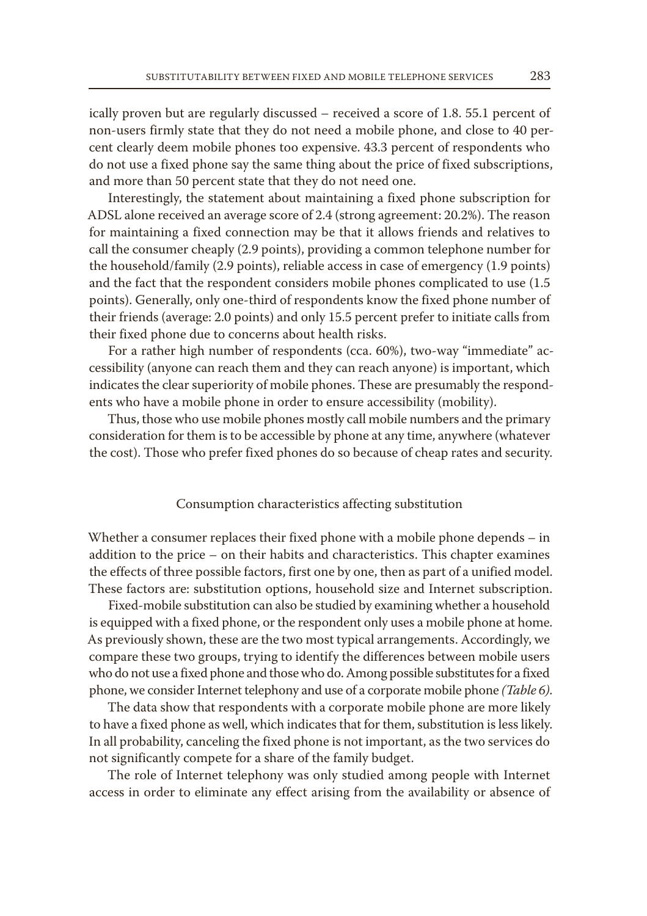ically proven but are regularly discussed – received a score of 1.8. 55.1 percent of non-users firmly state that they do not need a mobile phone, and close to 40 percent clearly deem mobile phones too expensive. 43.3 percent of respondents who do not use a fixed phone say the same thing about the price of fixed subscriptions, and more than 50 percent state that they do not need one.

Interestingly, the statement about maintaining a fixed phone subscription for ADSL alone received an average score of 2.4 (strong agreement: 20.2%). The reason for maintaining a fixed connection may be that it allows friends and relatives to call the consumer cheaply (2.9 points), providing a common telephone number for the household/family (2.9 points), reliable access in case of emergency (1.9 points) and the fact that the respondent considers mobile phones complicated to use (1.5 points). Generally, only one-third of respondents know the fixed phone number of their friends (average: 2.0 points) and only 15.5 percent prefer to initiate calls from their fixed phone due to concerns about health risks.

For a rather high number of respondents (cca. 60%), two-way "immediate" accessibility (anyone can reach them and they can reach anyone) is important, which indicates the clear superiority of mobile phones. These are presumably the respondents who have a mobile phone in order to ensure accessibility (mobility).

Thus, those who use mobile phones mostly call mobile numbers and the primary consideration for them is to be accessible by phone at any time, anywhere (whatever the cost). Those who prefer fixed phones do so because of cheap rates and security.

## Consumption characteristics affecting substitution

Whether a consumer replaces their fixed phone with a mobile phone depends – in addition to the price – on their habits and characteristics. This chapter examines the effects of three possible factors, first one by one, then as part of a unified model. These factors are: substitution options, household size and Internet subscription.

Fixed-mobile substitution can also be studied by examining whether a household is equipped with a fixed phone, or the respondent only uses a mobile phone at home. As previously shown, these are the two most typical arrangements. Accordingly, we compare these two groups, trying to identify the differences between mobile users who do not use a fixed phone and those who do. Among possible substitutes for a fixed phone, we consider Internet telephony and use of a corporate mobile phone *(Table 6)*.

The data show that respondents with a corporate mobile phone are more likely to have a fixed phone as well, which indicates that for them, substitution is less likely. In all probability, canceling the fixed phone is not important, as the two services do not significantly compete for a share of the family budget.

The role of Internet telephony was only studied among people with Internet access in order to eliminate any effect arising from the availability or absence of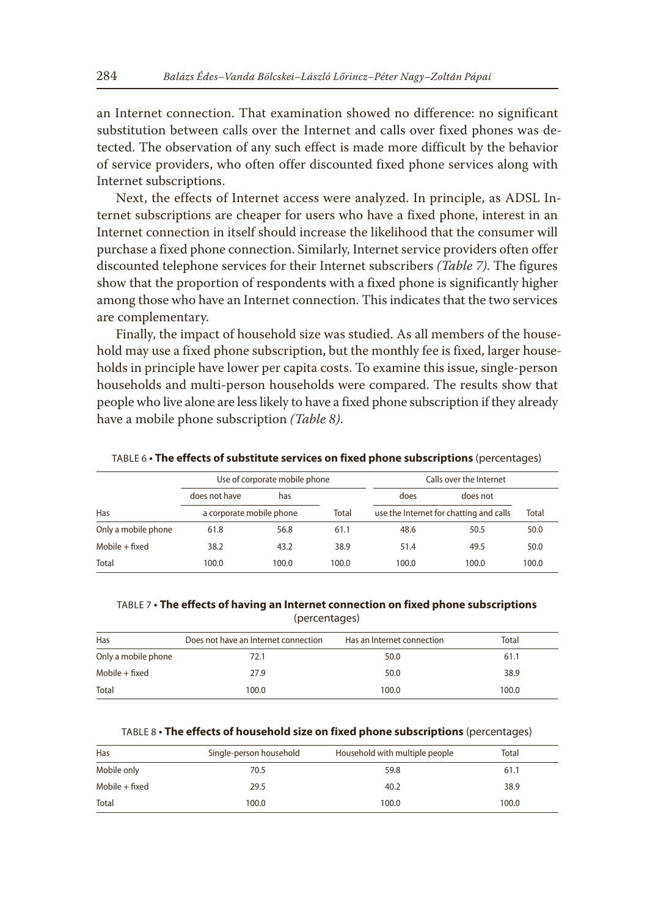an Internet connection. That examination showed no difference: no significant substitution between calls over the Internet and calls over fixed phones was detected. The observation of any such effect is made more difficult by the behavior of service providers, who often offer discounted fixed phone services along with Internet subscriptions.

Next, the effects of Internet access were analyzed. In principle, as ADSL Internet subscriptions are cheaper for users who have a fixed phone, interest in an Internet connection in itself should increase the likelihood that the consumer will purchase a fixed phone connection. Similarly, Internet service providers often offer discounted telephone services for their Internet subscribers *(Table 7)*. The figures show that the proportion of respondents with a fixed phone is significantly higher among those who have an Internet connection. This indicates that the two services are complementary.

Finally, the impact of household size was studied. As all members of the household may use a fixed phone subscription, but the monthly fee is fixed, larger households in principle have lower per capita costs. To examine this issue, single-person households and multi-person households were compared. The results show that people who live alone are less likely to have a fixed phone subscription if they already have a mobile phone subscription *(Table 8)*.

TABLE 6 **• The effects of substitute services on fixed phone subscriptions** (percentages)

| Use of corporate mobile phone |                          |       | Calls over the Internet |                                         |          |       |  |
|-------------------------------|--------------------------|-------|-------------------------|-----------------------------------------|----------|-------|--|
|                               | does not have            | has   |                         | does                                    | does not |       |  |
| Has                           | a corporate mobile phone |       | Total                   | use the Internet for chatting and calls |          | Total |  |
| Only a mobile phone           | 61.8                     | 56.8  | 61.1                    | 48.6                                    | 50.5     | 50.0  |  |
| $Mobile + fixed$              | 38.2                     | 43.2  | 38.9                    | 51.4                                    | 49.5     | 50.0  |  |
| Total                         | 100.0                    | 100.0 | 100.0                   | 100.0                                   | 100.0    | 100.0 |  |

TABLE 7 **• The effects of having an Internet connection on fixed phone subscriptions**  (percentages)

| Has                 | Does not have an Internet connection | Has an Internet connection | Total |  |
|---------------------|--------------------------------------|----------------------------|-------|--|
| Only a mobile phone | 72.1                                 | 50.0                       | 61.1  |  |
| $Mobile + fixed$    | 27.9                                 | 50.0                       | 38.9  |  |
| Total               | 100.0                                | 100.0                      | 100.0 |  |

|  |  | TABLE 8 . The effects of household size on fixed phone subscriptions (percentages) |  |
|--|--|------------------------------------------------------------------------------------|--|
|  |  |                                                                                    |  |

| Has            | Single-person household | Household with multiple people | Total |  |
|----------------|-------------------------|--------------------------------|-------|--|
| Mobile only    | 70.5                    | 59.8                           | 61.1  |  |
| Mobile + fixed | 29.5                    | 40.2                           | 38.9  |  |
| Total          | 100.0                   | 100.0                          | 100.0 |  |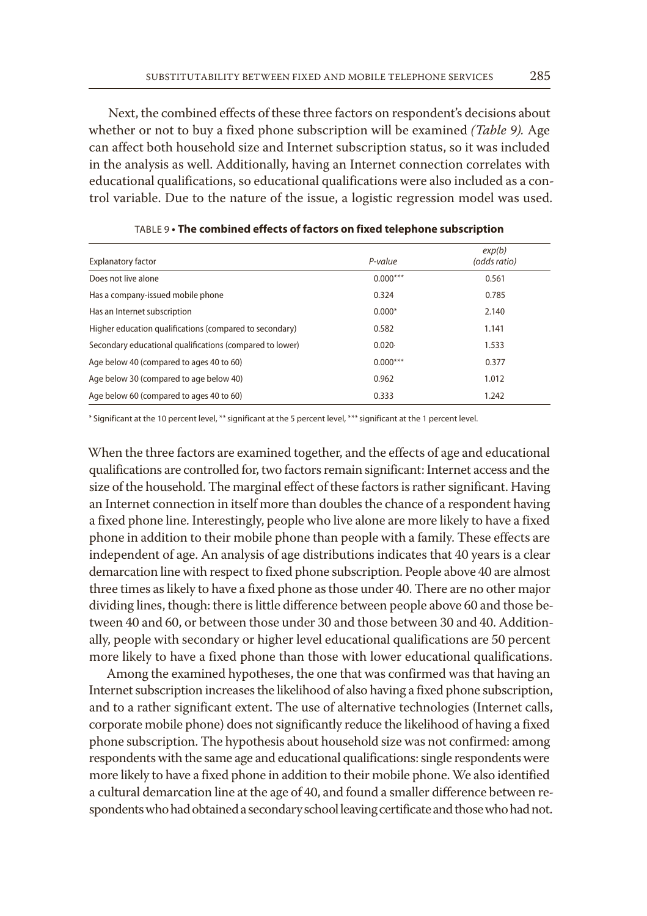Next, the combined effects of these three factors on respondent's decisions about whether or not to buy a fixed phone subscription will be examined *(Table 9).* Age can affect both household size and Internet subscription status, so it was included in the analysis as well. Additionally, having an Internet connection correlates with educational qualifications, so educational qualifications were also included as a control variable. Due to the nature of the issue, a logistic regression model was used.

| <b>Explanatory factor</b>                                | P-value    | exp(b)<br>(odds ratio) |
|----------------------------------------------------------|------------|------------------------|
| Does not live alone                                      | $0.000***$ | 0.561                  |
| Has a company-issued mobile phone                        | 0.324      | 0.785                  |
| Has an Internet subscription                             | $0.000*$   | 2.140                  |
| Higher education qualifications (compared to secondary)  | 0.582      | 1.141                  |
| Secondary educational qualifications (compared to lower) | $0.020 -$  | 1.533                  |
| Age below 40 (compared to ages 40 to 60)                 | $0.000***$ | 0.377                  |
| Age below 30 (compared to age below 40)                  | 0.962      | 1.012                  |
| Age below 60 (compared to ages 40 to 60)                 | 0.333      | 1.242                  |

TABLE 9 **• The combined effects of factors on fixed telephone subscription**

\*Significant at the 10 percent level, \*\* significant at the 5 percent level, \*\*\* significant at the 1 percent level.

When the three factors are examined together, and the effects of age and educational qualifications are controlled for, two factors remain significant: Internet access and the size of the household. The marginal effect of these factors is rather significant. Having an Internet connection in itself more than doubles the chance of a respondent having a fixed phone line. Interestingly, people who live alone are more likely to have a fixed phone in addition to their mobile phone than people with a family. These effects are independent of age. An analysis of age distributions indicates that 40 years is a clear demarcation line with respect to fixed phone subscription. People above 40 are almost three times as likely to have a fixed phone as those under 40. There are no other major dividing lines, though: there is little difference between people above 60 and those between 40 and 60, or between those under 30 and those between 30 and 40. Additionally, people with secondary or higher level educational qualifications are 50 percent more likely to have a fixed phone than those with lower educational qualifications.

Among the examined hypotheses, the one that was confirmed was that having an Internet subscription increases the likelihood of also having a fixed phone subscription, and to a rather significant extent. The use of alternative technologies (Internet calls, corporate mobile phone) does not significantly reduce the likelihood of having a fixed phone subscription. The hypothesis about household size was not confirmed: among respondents with the same age and educational qualifications: single respondents were more likely to have a fixed phone in addition to their mobile phone. We also identified a cultural demarcation line at the age of 40, and found a smaller difference between respondents who had obtained a secondary school leaving certificate and those who had not.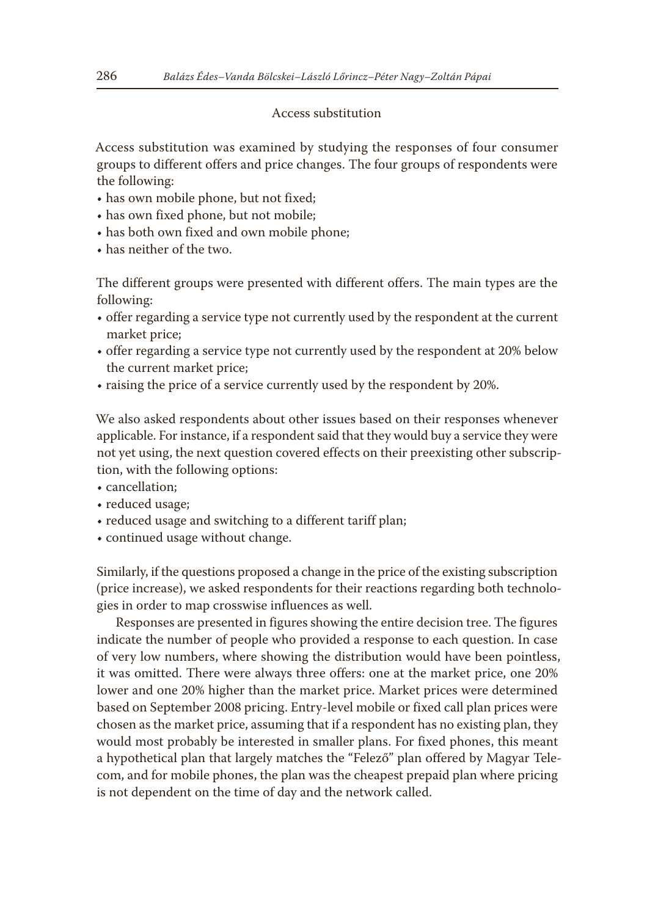# Access substitution

Access substitution was examined by studying the responses of four consumer groups to different offers and price changes. The four groups of respondents were the following:

- has own mobile phone, but not fixed;
- has own fixed phone, but not mobile;
- has both own fixed and own mobile phone;
- has neither of the two.

The different groups were presented with different offers. The main types are the following:

- offer regarding a service type not currently used by the respondent at the current market price;
- offer regarding a service type not currently used by the respondent at 20% below the current market price;
- raising the price of a service currently used by the respondent by 20%.

We also asked respondents about other issues based on their responses whenever applicable. For instance, if a respondent said that they would buy a service they were not yet using, the next question covered effects on their preexisting other subscription, with the following options:

- cancellation;
- reduced usage;
- reduced usage and switching to a different tariff plan;
- continued usage without change.

Similarly, if the questions proposed a change in the price of the existing subscription (price increase), we asked respondents for their reactions regarding both technologies in order to map crosswise influences as well.

Responses are presented in figures showing the entire decision tree. The figures indicate the number of people who provided a response to each question. In case of very low numbers, where showing the distribution would have been pointless, it was omitted. There were always three offers: one at the market price, one 20% lower and one 20% higher than the market price. Market prices were determined based on September 2008 pricing. Entry-level mobile or fixed call plan prices were chosen as the market price, assuming that if a respondent has no existing plan, they would most probably be interested in smaller plans. For fixed phones, this meant a hypothetical plan that largely matches the "Felező" plan offered by Magyar Telecom, and for mobile phones, the plan was the cheapest prepaid plan where pricing is not dependent on the time of day and the network called.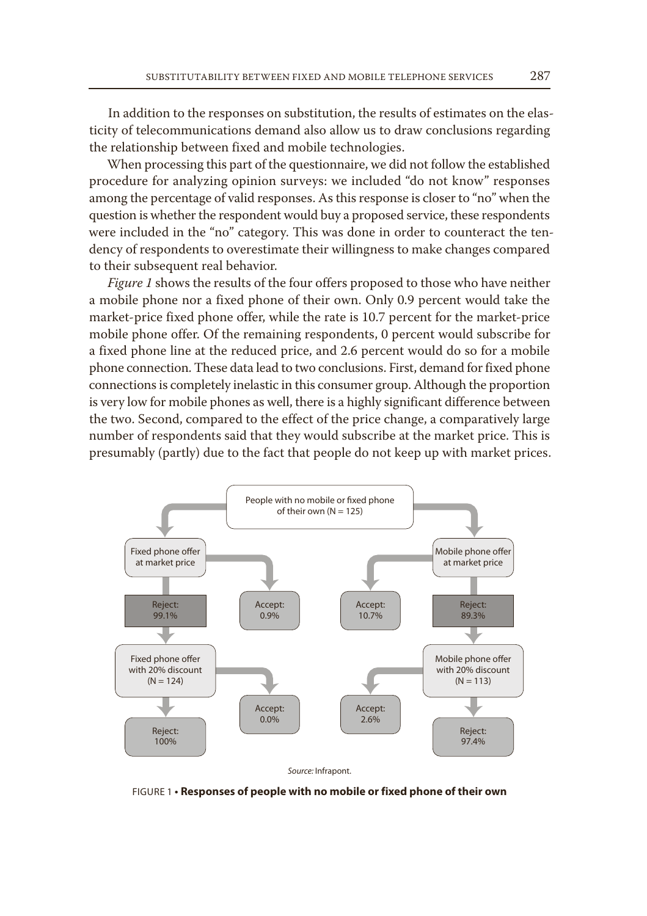In addition to the responses on substitution, the results of estimates on the elasticity of telecommunications demand also allow us to draw conclusions regarding the relationship between fixed and mobile technologies.

When processing this part of the questionnaire, we did not follow the established procedure for analyzing opinion surveys: we included "do not know" responses among the percentage of valid responses. As this response is closer to "no" when the question is whether the respondent would buy a proposed service, these respondents were included in the "no" category. This was done in order to counteract the tendency of respondents to overestimate their willingness to make changes compared to their subsequent real behavior.

*Figure 1* shows the results of the four offers proposed to those who have neither a mobile phone nor a fixed phone of their own. Only 0.9 percent would take the market-price fixed phone offer, while the rate is 10.7 percent for the market-price mobile phone offer. Of the remaining respondents, 0 percent would subscribe for a fixed phone line at the reduced price, and 2.6 percent would do so for a mobile phone connection. These data lead to two conclusions. First, demand for fixed phone connections is completely inelastic in this consumer group. Although the proportion is very low for mobile phones as well, there is a highly significant difference between the two. Second, compared to the effect of the price change, a comparatively large number of respondents said that they would subscribe at the market price. This is presumably (partly) due to the fact that people do not keep up with market prices.



FIGURE 1 **• Responses of people with no mobile or fixed phone of their own**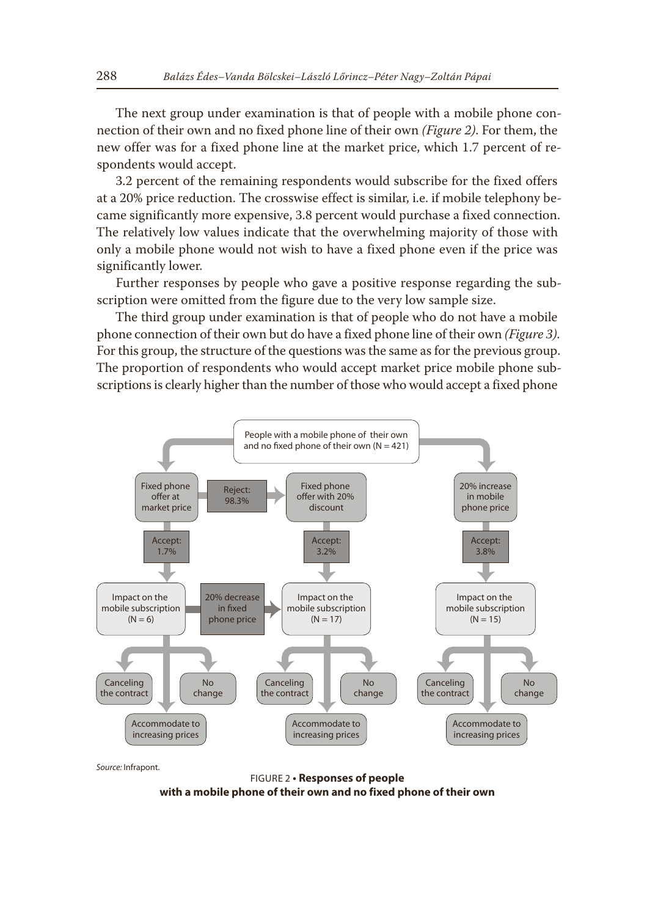The next group under examination is that of people with a mobile phone connection of their own and no fixed phone line of their own *(Figure 2)*. For them, the new offer was for a fixed phone line at the market price, which 1.7 percent of respondents would accept.

3.2 percent of the remaining respondents would subscribe for the fixed offers at a 20% price reduction. The crosswise effect is similar, i.e. if mobile telephony became significantly more expensive, 3.8 percent would purchase a fixed connection. The relatively low values indicate that the overwhelming majority of those with only a mobile phone would not wish to have a fixed phone even if the price was significantly lower.

Further responses by people who gave a positive response regarding the subscription were omitted from the figure due to the very low sample size.

The third group under examination is that of people who do not have a mobile phone connection of their own but do have a fixed phone line of their own *(Figure 3)*. For this group, the structure of the questions was the same as for the previous group. The proportion of respondents who would accept market price mobile phone subscriptions is clearly higher than the number of those who would accept a fixed phone



*Source:* Infrapont.

FIGURE 2 **• Responses of people with a mobile phone of their own and no fixed phone of their own**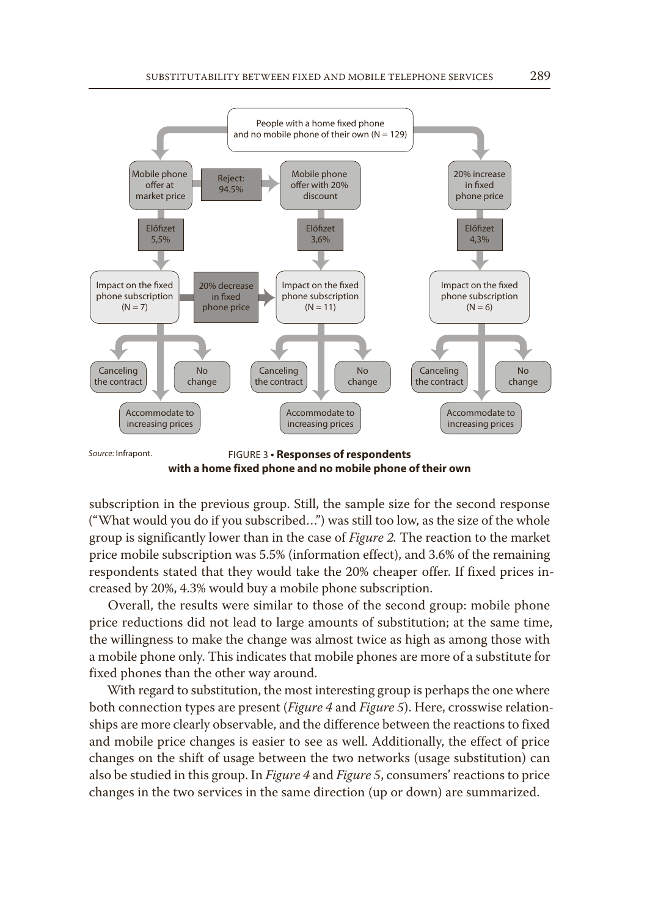

**with a home fixed phone and no mobile phone of their own**

subscription in the previous group. Still, the sample size for the second response ("What would you do if you subscribed…") was still too low, as the size of the whole group is significantly lower than in the case of *Figure 2.* The reaction to the market price mobile subscription was 5.5% (information effect), and 3.6% of the remaining respondents stated that they would take the 20% cheaper offer. If fixed prices increased by 20%, 4.3% would buy a mobile phone subscription.

Overall, the results were similar to those of the second group: mobile phone price reductions did not lead to large amounts of substitution; at the same time, the willingness to make the change was almost twice as high as among those with a mobile phone only. This indicates that mobile phones are more of a substitute for fixed phones than the other way around.

With regard to substitution, the most interesting group is perhaps the one where both connection types are present (*Figure 4* and *Figure 5*). Here, crosswise relationships are more clearly observable, and the difference between the reactions to fixed and mobile price changes is easier to see as well. Additionally, the effect of price changes on the shift of usage between the two networks (usage substitution) can also be studied in this group. In *Figure 4* and *Figure 5*, consumers' reactions to price changes in the two services in the same direction (up or down) are summarized.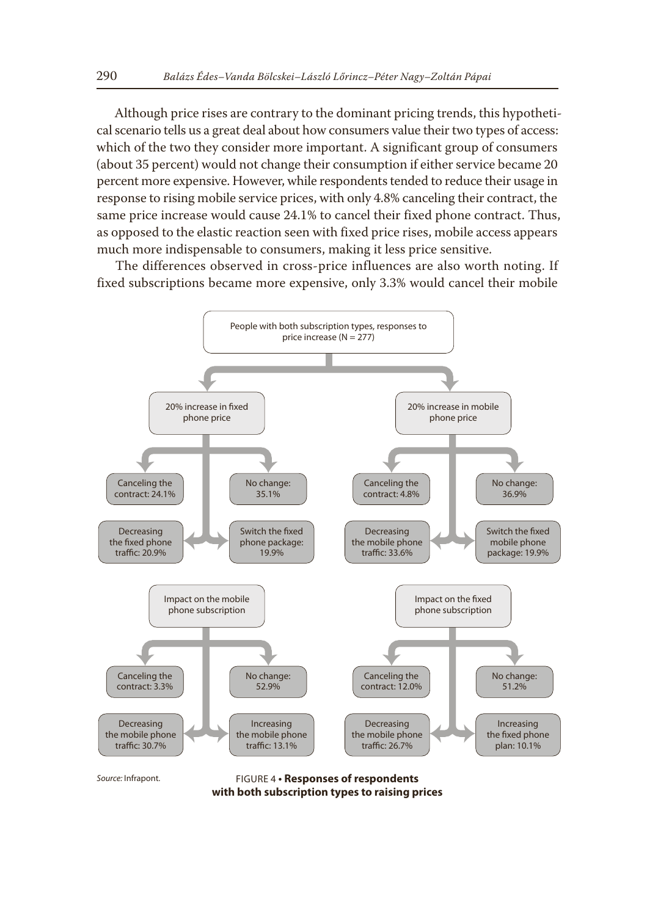Although price rises are contrary to the dominant pricing trends, this hypothetical scenario tells us a great deal about how consumers value their two types of access: which of the two they consider more important. A significant group of consumers (about 35 percent) would not change their consumption if either service became 20 percent more expensive. However, while respondents tended to reduce their usage in response to rising mobile service prices, with only 4.8% canceling their contract, the same price increase would cause 24.1% to cancel their fixed phone contract. Thus, as opposed to the elastic reaction seen with fixed price rises, mobile access appears much more indispensable to consumers, making it less price sensitive.

The differences observed in cross-price influences are also worth noting. If fixed subscriptions became more expensive, only 3.3% would cancel their mobile



FIGURE 4 **• Responses of respondents with both subscription types to raising prices**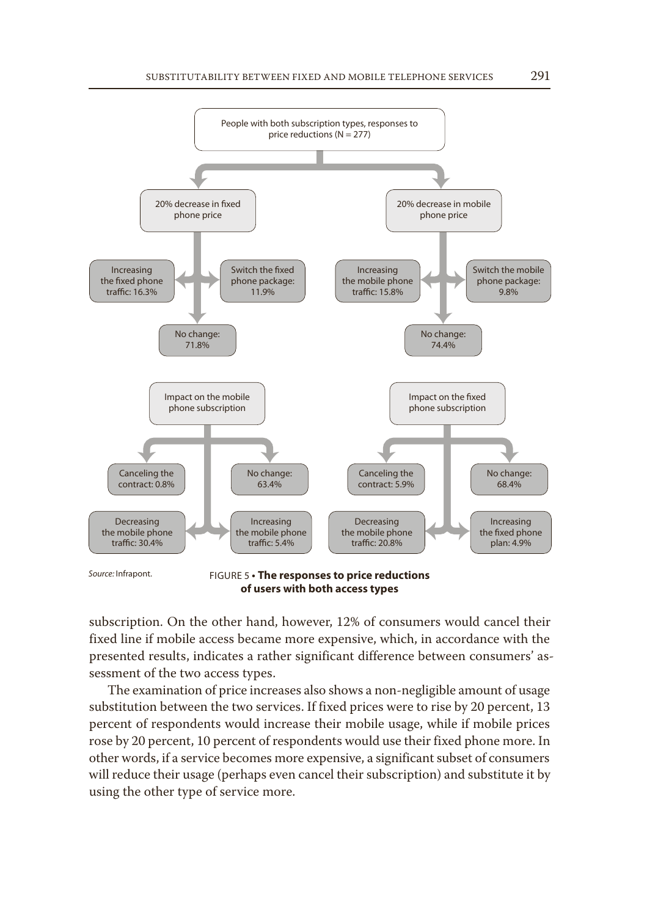

**of users with both access types**

subscription. On the other hand, however, 12% of consumers would cancel their fixed line if mobile access became more expensive, which, in accordance with the presented results, indicates a rather significant difference between consumers' assessment of the two access types.

The examination of price increases also shows a non-negligible amount of usage substitution between the two services. If fixed prices were to rise by 20 percent, 13 percent of respondents would increase their mobile usage, while if mobile prices rose by 20 percent, 10 percent of respondents would use their fixed phone more. In other words, if a service becomes more expensive, a significant subset of consumers will reduce their usage (perhaps even cancel their subscription) and substitute it by using the other type of service more.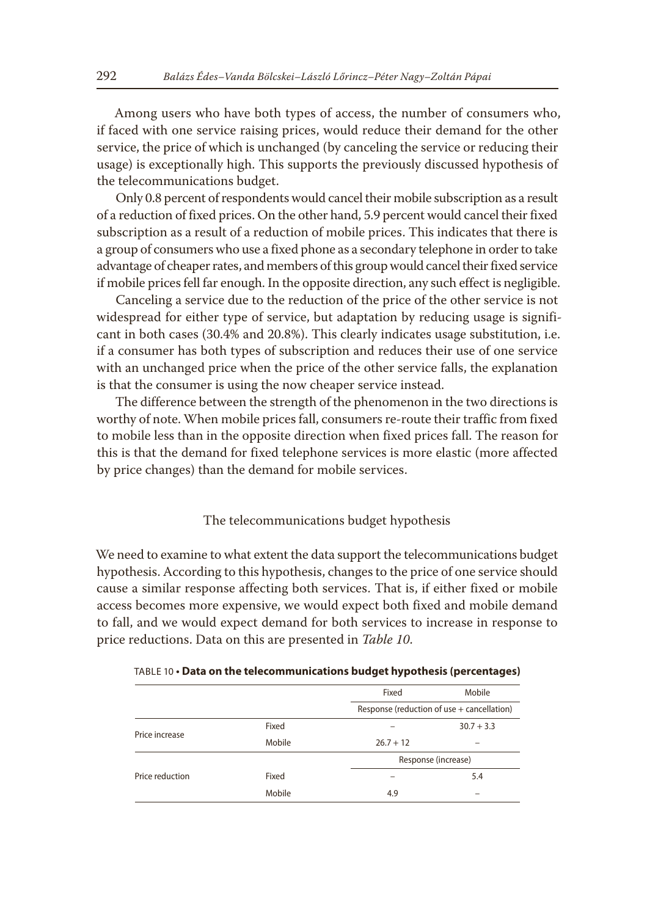Among users who have both types of access, the number of consumers who, if faced with one service raising prices, would reduce their demand for the other service, the price of which is unchanged (by canceling the service or reducing their usage) is exceptionally high. This supports the previously discussed hypothesis of the telecommunications budget.

Only 0.8 percent of respondents would cancel their mobile subscription as a result of a reduction of fixed prices. On the other hand, 5.9 percent would cancel their fixed subscription as a result of a reduction of mobile prices. This indicates that there is a group of consumers who use a fixed phone as a secondary telephone in order to take advantage of cheaper rates, and members of this group would cancel their fixed service if mobile prices fell far enough. In the opposite direction, any such effect is negligible.

Canceling a service due to the reduction of the price of the other service is not widespread for either type of service, but adaptation by reducing usage is significant in both cases (30.4% and 20.8%). This clearly indicates usage substitution, i.e. if a consumer has both types of subscription and reduces their use of one service with an unchanged price when the price of the other service falls, the explanation is that the consumer is using the now cheaper service instead.

The difference between the strength of the phenomenon in the two directions is worthy of note. When mobile prices fall, consumers re-route their traffic from fixed to mobile less than in the opposite direction when fixed prices fall. The reason for this is that the demand for fixed telephone services is more elastic (more affected by price changes) than the demand for mobile services.

#### The telecommunications budget hypothesis

We need to examine to what extent the data support the telecommunications budget hypothesis. According to this hypothesis, changes to the price of one service should cause a similar response affecting both services. That is, if either fixed or mobile access becomes more expensive, we would expect both fixed and mobile demand to fall, and we would expect demand for both services to increase in response to price reductions. Data on this are presented in *Table 10*.

| TABLE 10 • <mark>Data on the telecommunications budget hypothesis (percentages</mark> ) |  |  |
|-----------------------------------------------------------------------------------------|--|--|
|-----------------------------------------------------------------------------------------|--|--|

|                 |        | Fixed                                      | Mobile       |
|-----------------|--------|--------------------------------------------|--------------|
|                 |        | Response (reduction of use + cancellation) |              |
| Price increase  | Fixed  |                                            | $30.7 + 3.3$ |
|                 | Mobile | $26.7 + 12$                                |              |
|                 |        | Response (increase)                        |              |
| Price reduction | Fixed  |                                            | 5.4          |
|                 | Mobile | 4.9                                        | -            |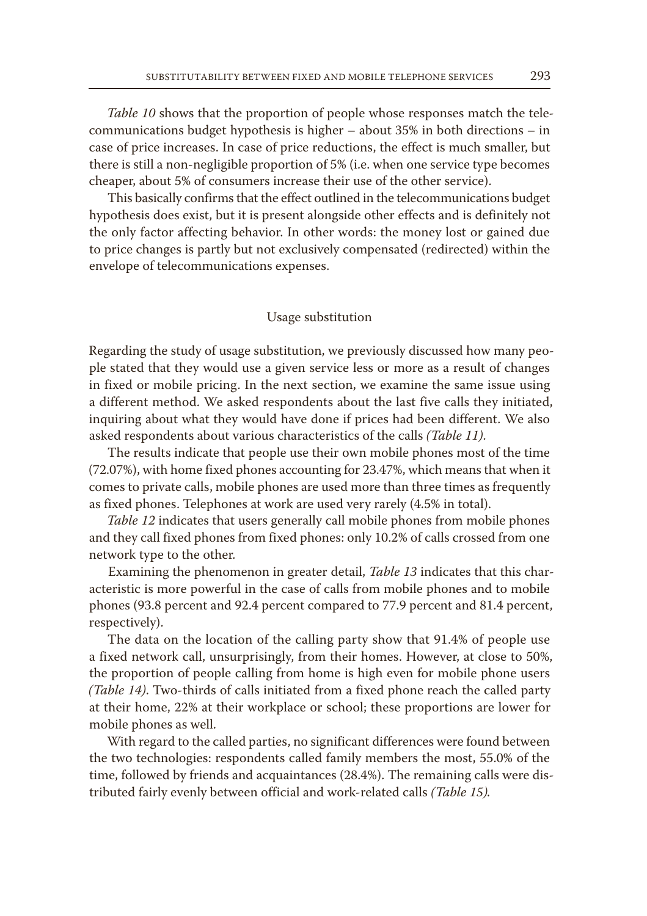*Table 10* shows that the proportion of people whose responses match the telecommunications budget hypothesis is higher – about 35% in both directions – in case of price increases. In case of price reductions, the effect is much smaller, but there is still a non-negligible proportion of 5% (i.e. when one service type becomes cheaper, about 5% of consumers increase their use of the other service).

This basically confirms that the effect outlined in the telecommunications budget hypothesis does exist, but it is present alongside other effects and is definitely not the only factor affecting behavior. In other words: the money lost or gained due to price changes is partly but not exclusively compensated (redirected) within the envelope of telecommunications expenses.

# Usage substitution

Regarding the study of usage substitution, we previously discussed how many people stated that they would use a given service less or more as a result of changes in fixed or mobile pricing. In the next section, we examine the same issue using a different method. We asked respondents about the last five calls they initiated, inquiring about what they would have done if prices had been different. We also asked respondents about various characteristics of the calls *(Table 11)*.

The results indicate that people use their own mobile phones most of the time (72.07%), with home fixed phones accounting for 23.47%, which means that when it comes to private calls, mobile phones are used more than three times as frequently as fixed phones. Telephones at work are used very rarely (4.5% in total).

*Table 12* indicates that users generally call mobile phones from mobile phones and they call fixed phones from fixed phones: only 10.2% of calls crossed from one network type to the other.

Examining the phenomenon in greater detail, *Table 13* indicates that this characteristic is more powerful in the case of calls from mobile phones and to mobile phones (93.8 percent and 92.4 percent compared to 77.9 percent and 81.4 percent, respectively).

The data on the location of the calling party show that 91.4% of people use a fixed network call, unsurprisingly, from their homes. However, at close to 50%, the proportion of people calling from home is high even for mobile phone users *(Table 14)*. Two-thirds of calls initiated from a fixed phone reach the called party at their home, 22% at their workplace or school; these proportions are lower for mobile phones as well.

With regard to the called parties, no significant differences were found between the two technologies: respondents called family members the most, 55.0% of the time, followed by friends and acquaintances (28.4%). The remaining calls were distributed fairly evenly between official and work-related calls *(Table 15).*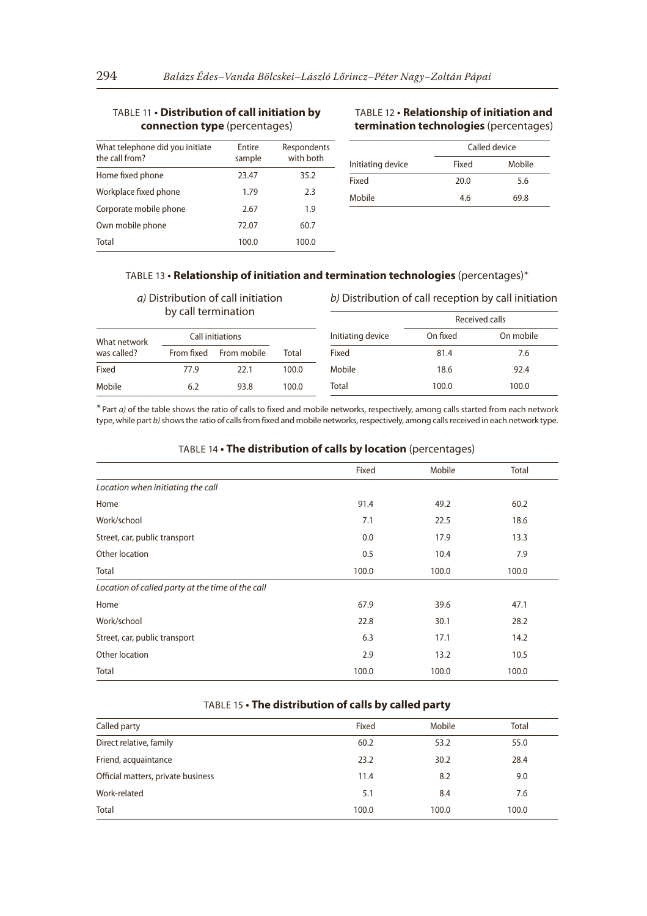## TABLE 11 **• Distribution of call initiation by connection type** (percentages)

| What telephone did you initiate<br>the call from? | Entire<br>sample | Respondents<br>with both |
|---------------------------------------------------|------------------|--------------------------|
| Home fixed phone                                  | 23.47            | 35.2                     |
| Workplace fixed phone                             | 1.79             | 2.3                      |
| Corporate mobile phone                            | 2.67             | 1.9                      |
| Own mobile phone                                  | 72.07            | 60.7                     |
| Total                                             | 100.0            | 100.0                    |

## TABLE 12 **• Relationship of initiation and termination technologies** (percentages)

|                   | Called device |        |  |
|-------------------|---------------|--------|--|
| Initiating device | Fixed         | Mobile |  |
| Fixed             | 20.0          | 5.6    |  |
| Mobile            | 46            | 69.8   |  |

## TABLE 13 **• Relationship of initiation and termination technologies** (percentages)\*

*a)* Distribution of call initiation by call termination

#### *b)* Distribution of call reception by call initiation

| $\mathcal{Q}$ can communication |            |                  | Received calls |                   |          |           |
|---------------------------------|------------|------------------|----------------|-------------------|----------|-----------|
| What network                    |            | Call initiations |                | Initiating device | On fixed | On mobile |
| was called?                     | From fixed | From mobile      | Total          | Fixed             | 81.4     | 7.6       |
| Fixed                           | 77.9       | 22.1             | 100.0          | Mobile            | 18.6     | 92.4      |
| Mobile                          | 6.2        | 93.8             | 100.0          | Total             | 100.0    | 100.0     |

\*Part *a)* of the table shows the ratio of calls to fixed and mobile networks, respectively, among calls started from each network type, while part *b)* shows the ratio of calls from fixed and mobile networks, respectively, among calls received in each network type.

## TABLE 14 **• The distribution of calls by location** (percentages)

|                                                  | Fixed | Mobile | Total |
|--------------------------------------------------|-------|--------|-------|
| Location when initiating the call                |       |        |       |
| Home                                             | 91.4  | 49.2   | 60.2  |
| Work/school                                      | 7.1   | 22.5   | 18.6  |
| Street, car, public transport                    | 0.0   | 17.9   | 13.3  |
| Other location                                   | 0.5   | 10.4   | 7.9   |
| Total                                            | 100.0 | 100.0  | 100.0 |
| Location of called party at the time of the call |       |        |       |
| Home                                             | 67.9  | 39.6   | 47.1  |
| Work/school                                      | 22.8  | 30.1   | 28.2  |
| Street, car, public transport                    | 6.3   | 17.1   | 14.2  |
| Other location                                   | 2.9   | 13.2   | 10.5  |
| Total                                            | 100.0 | 100.0  | 100.0 |

# TABLE 15 **• The distribution of calls by called party**

| Called party                       | Fixed | Mobile | Total |
|------------------------------------|-------|--------|-------|
| Direct relative, family            | 60.2  | 53.2   | 55.0  |
| Friend, acquaintance               | 23.2  | 30.2   | 28.4  |
| Official matters, private business | 11.4  | 8.2    | 9.0   |
| Work-related                       | 5.1   | 8.4    | 7.6   |
| Total                              | 100.0 | 100.0  | 100.0 |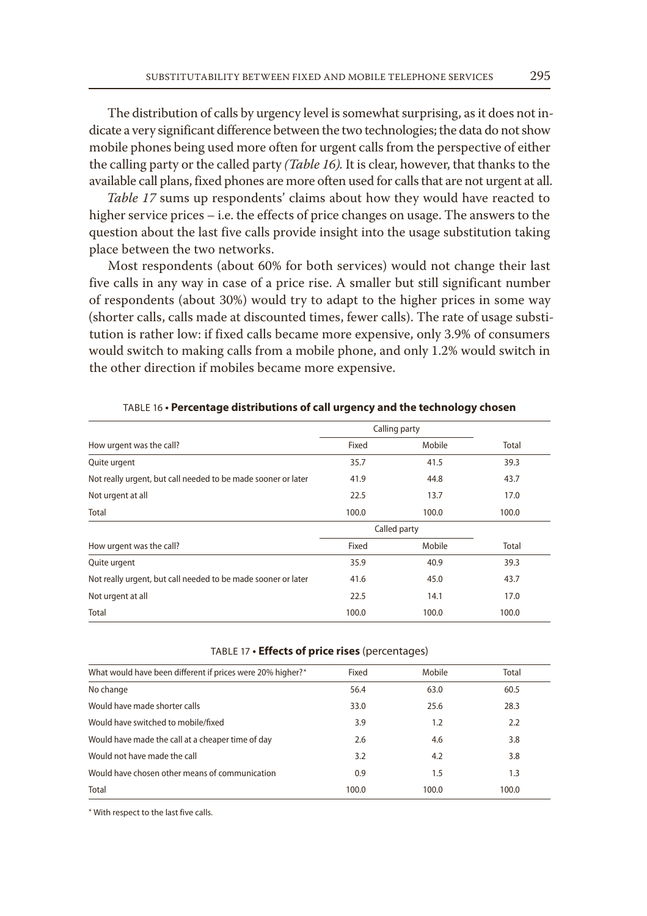The distribution of calls by urgency level is somewhat surprising, as it does not indicate a very significant difference between the two technologies; the data do not show mobile phones being used more often for urgent calls from the perspective of either the calling party or the called party *(Table 16).* It is clear, however, that thanks to the available call plans, fixed phones are more often used for calls that are not urgent at all.

*Table 17* sums up respondents' claims about how they would have reacted to higher service prices – i.e. the effects of price changes on usage. The answers to the question about the last five calls provide insight into the usage substitution taking place between the two networks.

Most respondents (about 60% for both services) would not change their last five calls in any way in case of a price rise. A smaller but still significant number of respondents (about 30%) would try to adapt to the higher prices in some way (shorter calls, calls made at discounted times, fewer calls). The rate of usage substitution is rather low: if fixed calls became more expensive, only 3.9% of consumers would switch to making calls from a mobile phone, and only 1.2% would switch in the other direction if mobiles became more expensive.

|                                                               | Calling party |        |       |
|---------------------------------------------------------------|---------------|--------|-------|
| How urgent was the call?                                      | Fixed         | Mobile | Total |
| Quite urgent                                                  | 35.7          | 41.5   | 39.3  |
| Not really urgent, but call needed to be made sooner or later | 41.9          | 44.8   | 43.7  |
| Not urgent at all                                             | 22.5          | 13.7   | 17.0  |
| Total                                                         | 100.0         | 100.0  | 100.0 |
|                                                               | Called party  |        |       |
| How urgent was the call?                                      | Fixed         | Mobile | Total |
| Quite urgent                                                  | 35.9          | 40.9   | 39.3  |
| Not really urgent, but call needed to be made sooner or later | 41.6          | 45.0   | 43.7  |
| Not urgent at all                                             | 22.5          | 14.1   | 17.0  |
| Total                                                         | 100.0         | 100.0  | 100.0 |

## TABLE 16 **• Percentage distributions of call urgency and the technology chosen**

#### TABLE 17 **• Effects of price rises** (percentages)

| What would have been different if prices were 20% higher?* | Fixed | Mobile | Total |
|------------------------------------------------------------|-------|--------|-------|
| No change                                                  | 56.4  | 63.0   | 60.5  |
| Would have made shorter calls                              | 33.0  | 25.6   | 28.3  |
| Would have switched to mobile/fixed                        | 3.9   | 1.2    | 2.2   |
| Would have made the call at a cheaper time of day          | 2.6   | 4.6    | 3.8   |
| Would not have made the call                               | 3.2   | 4.2    | 3.8   |
| Would have chosen other means of communication             | 0.9   | 1.5    | 1.3   |
| Total                                                      | 100.0 | 100.0  | 100.0 |
|                                                            |       |        |       |

\* With respect to the last five calls.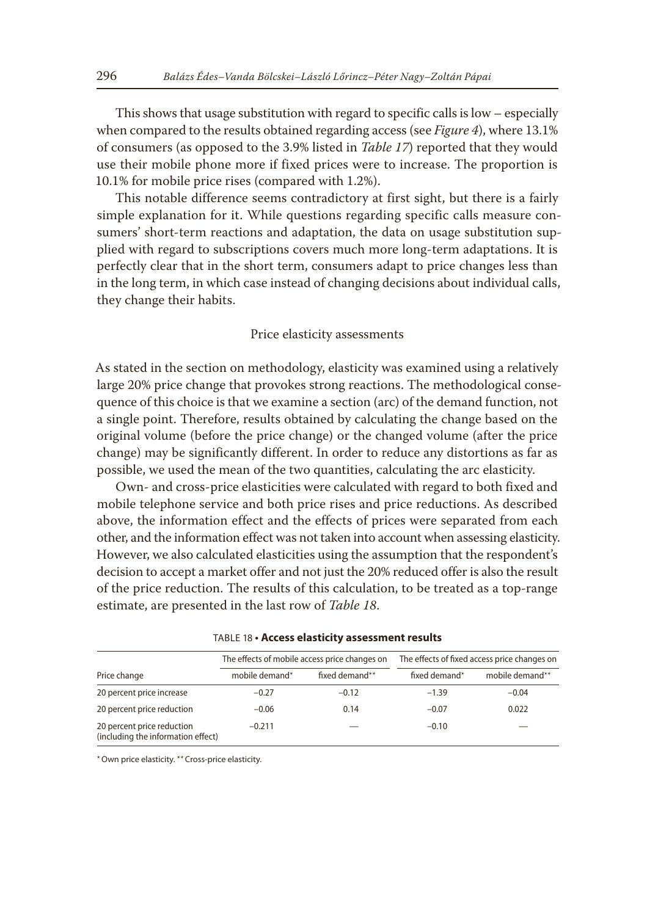This shows that usage substitution with regard to specific calls is low – especially when compared to the results obtained regarding access (see *Figure 4*), where 13.1% of consumers (as opposed to the 3.9% listed in *Table 17*) reported that they would use their mobile phone more if fixed prices were to increase. The proportion is 10.1% for mobile price rises (compared with 1.2%).

This notable difference seems contradictory at first sight, but there is a fairly simple explanation for it. While questions regarding specific calls measure consumers' short-term reactions and adaptation, the data on usage substitution supplied with regard to subscriptions covers much more long-term adaptations. It is perfectly clear that in the short term, consumers adapt to price changes less than in the long term, in which case instead of changing decisions about individual calls, they change their habits.

#### Price elasticity assessments

As stated in the section on methodology, elasticity was examined using a relatively large 20% price change that provokes strong reactions. The methodological consequence of this choice is that we examine a section (arc) of the demand function, not a single point. Therefore, results obtained by calculating the change based on the original volume (before the price change) or the changed volume (after the price change) may be significantly different. In order to reduce any distortions as far as possible, we used the mean of the two quantities, calculating the arc elasticity.

Own- and cross-price elasticities were calculated with regard to both fixed and mobile telephone service and both price rises and price reductions. As described above, the information effect and the effects of prices were separated from each other, and the information effect was not taken into account when assessing elasticity. However, we also calculated elasticities using the assumption that the respondent's decision to accept a market offer and not just the 20% reduced offer is also the result of the price reduction. The results of this calculation, to be treated as a top-range estimate, are presented in the last row of *Table 18*.

|                                                                  |                | The effects of mobile access price changes on | The effects of fixed access price changes on |                 |
|------------------------------------------------------------------|----------------|-----------------------------------------------|----------------------------------------------|-----------------|
| Price change                                                     | mobile demand* | fixed demand**                                | fixed demand*                                | mobile demand** |
| 20 percent price increase                                        | $-0.27$        | $-0.12$                                       | $-1.39$                                      | $-0.04$         |
| 20 percent price reduction                                       | $-0.06$        | 0.14                                          | $-0.07$                                      | 0.022           |
| 20 percent price reduction<br>(including the information effect) | $-0.211$       |                                               | $-0.10$                                      |                 |

| TABLE 18 • Access elasticity assessment results |  |
|-------------------------------------------------|--|
|-------------------------------------------------|--|

\*Own price elasticity. \*\*Cross-price elasticity.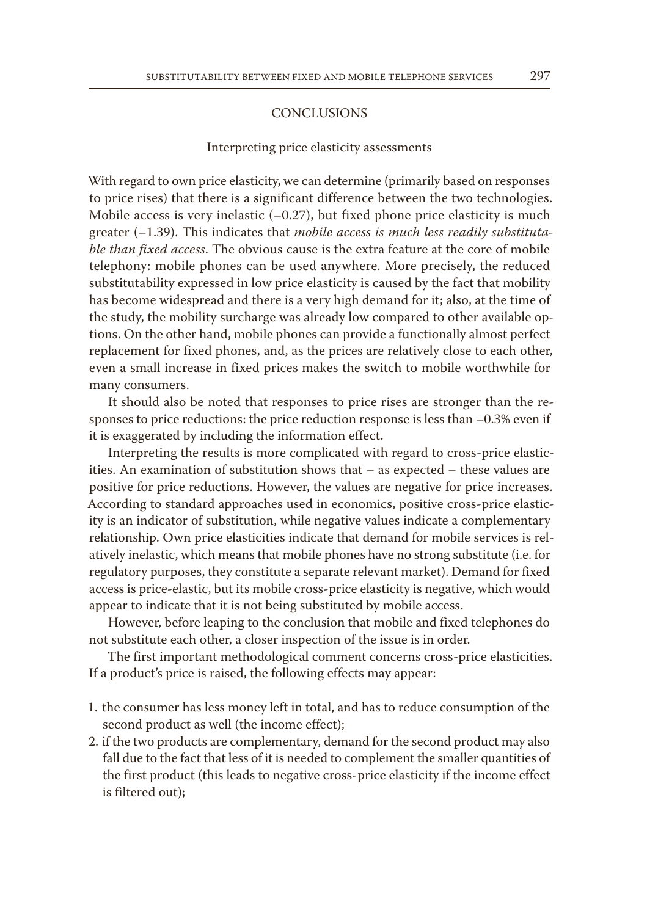## CONCLUSIONS

#### Interpreting price elasticity assessments

With regard to own price elasticity, we can determine (primarily based on responses to price rises) that there is a significant difference between the two technologies. Mobile access is very inelastic  $(-0.27)$ , but fixed phone price elasticity is much greater (–1.39). This indicates that *mobile access is much less readily substitutable than fixed access*. The obvious cause is the extra feature at the core of mobile telephony: mobile phones can be used anywhere. More precisely, the reduced substitutability expressed in low price elasticity is caused by the fact that mobility has become widespread and there is a very high demand for it; also, at the time of the study, the mobility surcharge was already low compared to other available options. On the other hand, mobile phones can provide a functionally almost perfect replacement for fixed phones, and, as the prices are relatively close to each other, even a small increase in fixed prices makes the switch to mobile worthwhile for many consumers.

It should also be noted that responses to price rises are stronger than the responses to price reductions: the price reduction response is less than –0.3% even if it is exaggerated by including the information effect.

Interpreting the results is more complicated with regard to cross-price elasticities. An examination of substitution shows that – as expected – these values are positive for price reductions. However, the values are negative for price increases. According to standard approaches used in economics, positive cross-price elasticity is an indicator of substitution, while negative values indicate a complementary relationship. Own price elasticities indicate that demand for mobile services is relatively inelastic, which means that mobile phones have no strong substitute (i.e. for regulatory purposes, they constitute a separate relevant market). Demand for fixed access is price-elastic, but its mobile cross-price elasticity is negative, which would appear to indicate that it is not being substituted by mobile access.

However, before leaping to the conclusion that mobile and fixed telephones do not substitute each other, a closer inspection of the issue is in order.

The first important methodological comment concerns cross-price elasticities. If a product's price is raised, the following effects may appear:

- 1. the consumer has less money left in total, and has to reduce consumption of the second product as well (the income effect);
- 2. if the two products are complementary, demand for the second product may also fall due to the fact that less of it is needed to complement the smaller quantities of the first product (this leads to negative cross-price elasticity if the income effect is filtered out);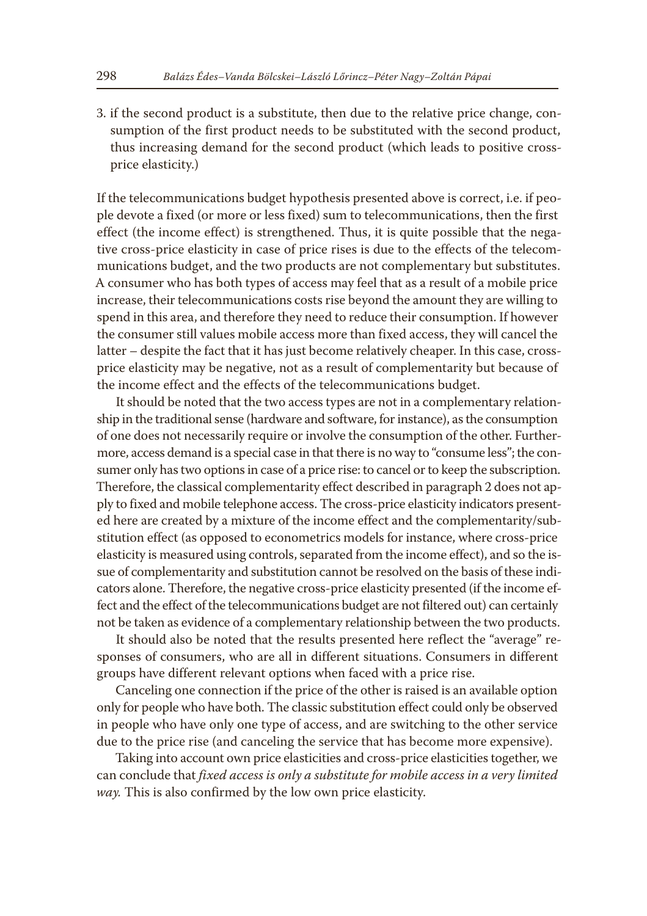3. if the second product is a substitute, then due to the relative price change, consumption of the first product needs to be substituted with the second product, thus increasing demand for the second product (which leads to positive crossprice elasticity.)

If the telecommunications budget hypothesis presented above is correct, i.e. if people devote a fixed (or more or less fixed) sum to telecommunications, then the first effect (the income effect) is strengthened. Thus, it is quite possible that the negative cross-price elasticity in case of price rises is due to the effects of the telecommunications budget, and the two products are not complementary but substitutes. A consumer who has both types of access may feel that as a result of a mobile price increase, their telecommunications costs rise beyond the amount they are willing to spend in this area, and therefore they need to reduce their consumption. If however the consumer still values mobile access more than fixed access, they will cancel the latter – despite the fact that it has just become relatively cheaper. In this case, crossprice elasticity may be negative, not as a result of complementarity but because of the income effect and the effects of the telecommunications budget.

It should be noted that the two access types are not in a complementary relationship in the traditional sense (hardware and software, for instance), as the consumption of one does not necessarily require or involve the consumption of the other. Furthermore, access demand is a special case in that there is no way to "consume less"; the consumer only has two options in case of a price rise: to cancel or to keep the subscription. Therefore, the classical complementarity effect described in paragraph 2 does not apply to fixed and mobile telephone access. The cross-price elasticity indicators presented here are created by a mixture of the income effect and the complementarity/substitution effect (as opposed to econometrics models for instance, where cross-price elasticity is measured using controls, separated from the income effect), and so the issue of complementarity and substitution cannot be resolved on the basis of these indicators alone. Therefore, the negative cross-price elasticity presented (if the income effect and the effect of the telecommunications budget are not filtered out) can certainly not be taken as evidence of a complementary relationship between the two products.

It should also be noted that the results presented here reflect the "average" responses of consumers, who are all in different situations. Consumers in different groups have different relevant options when faced with a price rise.

Canceling one connection if the price of the other is raised is an available option only for people who have both. The classic substitution effect could only be observed in people who have only one type of access, and are switching to the other service due to the price rise (and canceling the service that has become more expensive).

Taking into account own price elasticities and cross-price elasticities together, we can conclude that *fixed access is only a substitute for mobile access in a very limited way.* This is also confirmed by the low own price elasticity.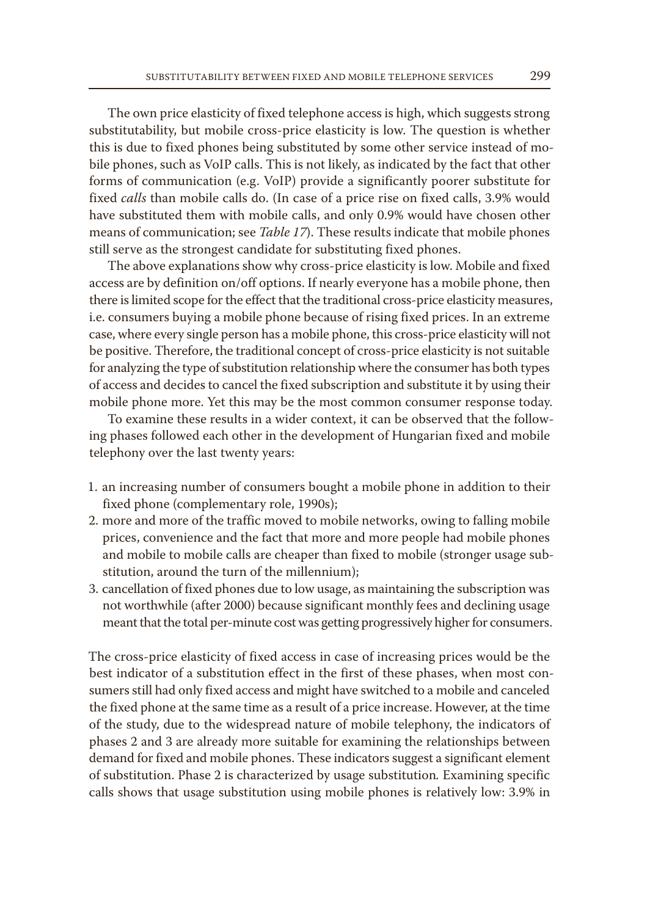The own price elasticity of fixed telephone access is high, which suggests strong substitutability, but mobile cross-price elasticity is low. The question is whether this is due to fixed phones being substituted by some other service instead of mobile phones, such as VoIP calls. This is not likely, as indicated by the fact that other forms of communication (e.g. VoIP) provide a significantly poorer substitute for fixed *calls* than mobile calls do. (In case of a price rise on fixed calls, 3.9% would have substituted them with mobile calls, and only 0.9% would have chosen other means of communication; see *Table 17*). These results indicate that mobile phones still serve as the strongest candidate for substituting fixed phones.

The above explanations show why cross-price elasticity is low. Mobile and fixed access are by definition on/off options. If nearly everyone has a mobile phone, then there is limited scope for the effect that the traditional cross-price elasticity measures, i.e. consumers buying a mobile phone because of rising fixed prices. In an extreme case, where every single person has a mobile phone, this cross-price elasticity will not be positive. Therefore, the traditional concept of cross-price elasticity is not suitable for analyzing the type of substitution relationship where the consumer has both types of access and decides to cancel the fixed subscription and substitute it by using their mobile phone more. Yet this may be the most common consumer response today.

To examine these results in a wider context, it can be observed that the following phases followed each other in the development of Hungarian fixed and mobile telephony over the last twenty years:

- 1. an increasing number of consumers bought a mobile phone in addition to their fixed phone (complementary role, 1990s);
- 2. more and more of the traffic moved to mobile networks, owing to falling mobile prices, convenience and the fact that more and more people had mobile phones and mobile to mobile calls are cheaper than fixed to mobile (stronger usage substitution, around the turn of the millennium);
- 3. cancellation of fixed phones due to low usage, as maintaining the subscription was not worthwhile (after 2000) because significant monthly fees and declining usage meant that the total per-minute cost was getting progressively higher for consumers.

The cross-price elasticity of fixed access in case of increasing prices would be the best indicator of a substitution effect in the first of these phases, when most consumers still had only fixed access and might have switched to a mobile and canceled the fixed phone at the same time as a result of a price increase. However, at the time of the study, due to the widespread nature of mobile telephony, the indicators of phases 2 and 3 are already more suitable for examining the relationships between demand for fixed and mobile phones. These indicators suggest a significant element of substitution. Phase 2 is characterized by usage substitution*.* Examining specific calls shows that usage substitution using mobile phones is relatively low: 3.9% in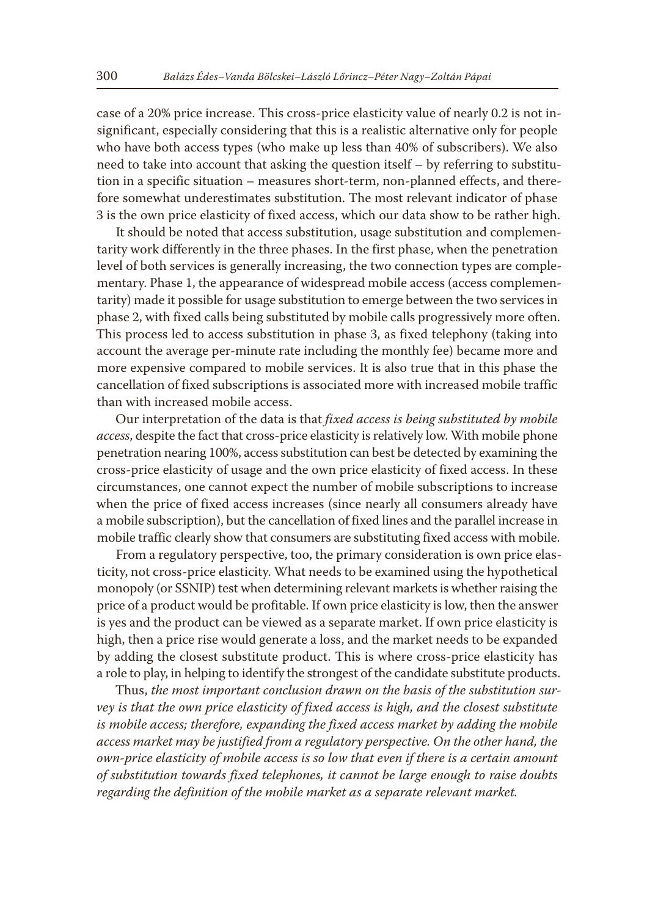case of a 20% price increase. This cross-price elasticity value of nearly 0.2 is not insignificant, especially considering that this is a realistic alternative only for people who have both access types (who make up less than 40% of subscribers). We also need to take into account that asking the question itself – by referring to substitution in a specific situation – measures short-term, non-planned effects, and therefore somewhat underestimates substitution. The most relevant indicator of phase 3 is the own price elasticity of fixed access, which our data show to be rather high.

It should be noted that access substitution, usage substitution and complementarity work differently in the three phases. In the first phase, when the penetration level of both services is generally increasing, the two connection types are complementary. Phase 1, the appearance of widespread mobile access (access complementarity) made it possible for usage substitution to emerge between the two services in phase 2, with fixed calls being substituted by mobile calls progressively more often. This process led to access substitution in phase 3, as fixed telephony (taking into account the average per-minute rate including the monthly fee) became more and more expensive compared to mobile services. It is also true that in this phase the cancellation of fixed subscriptions is associated more with increased mobile traffic than with increased mobile access.

Our interpretation of the data is that *fixed access is being substituted by mobile access*, despite the fact that cross-price elasticity is relatively low. With mobile phone penetration nearing 100%, access substitution can best be detected by examining the cross-price elasticity of usage and the own price elasticity of fixed access. In these circumstances, one cannot expect the number of mobile subscriptions to increase when the price of fixed access increases (since nearly all consumers already have a mobile subscription), but the cancellation of fixed lines and the parallel increase in mobile traffic clearly show that consumers are substituting fixed access with mobile.

From a regulatory perspective, too, the primary consideration is own price elasticity, not cross-price elasticity. What needs to be examined using the hypothetical monopoly (or SSNIP) test when determining relevant markets is whether raising the price of a product would be profitable. If own price elasticity is low, then the answer is yes and the product can be viewed as a separate market. If own price elasticity is high, then a price rise would generate a loss, and the market needs to be expanded by adding the closest substitute product. This is where cross-price elasticity has a role to play, in helping to identify the strongest of the candidate substitute products.

Thus, *the most important conclusion drawn on the basis of the substitution survey is that the own price elasticity of fixed access is high, and the closest substitute*  is mobile access; therefore, expanding the fixed access market by adding the mobile *access market may be justified from a regulatory perspective. On the other hand, the own-price elasticity of mobile access is so low that even if there is a certain amount of substitution towards fixed telephones, it cannot be large enough to raise doubts regarding the definition of the mobile market as a separate relevant market.*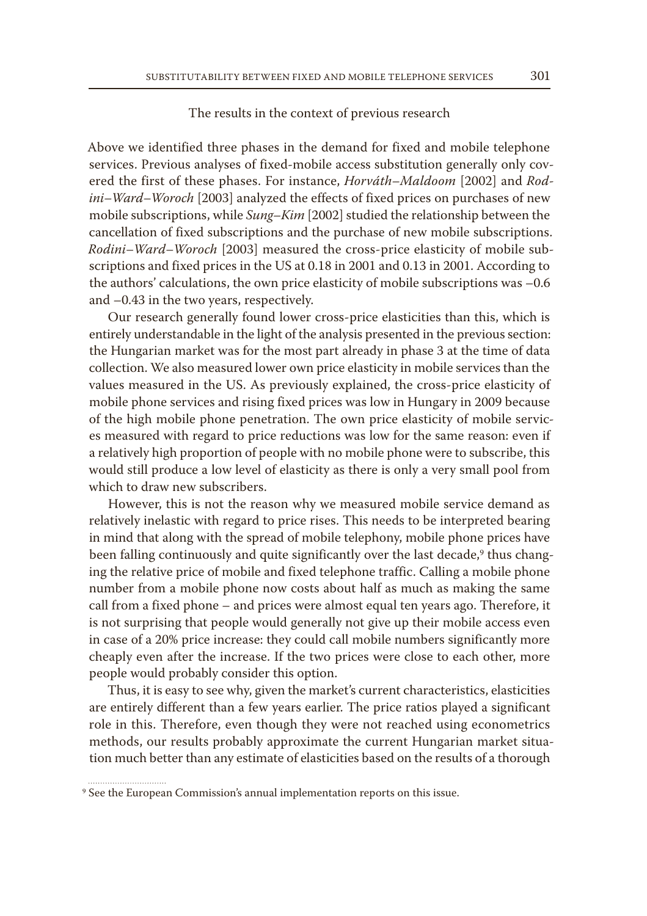## The results in the context of previous research

Above we identified three phases in the demand for fixed and mobile telephone services. Previous analyses of fixed-mobile access substitution generally only covered the first of these phases. For instance, *Horváth–Maldoom* [2002] and *Rodini–Ward–Woroch* [2003] analyzed the effects of fixed prices on purchases of new mobile subscriptions, while *Sung–Kim* [2002] studied the relationship between the cancellation of fixed subscriptions and the purchase of new mobile subscriptions. *Rodini–Ward–Woroch* [2003] measured the cross-price elasticity of mobile subscriptions and fixed prices in the US at 0.18 in 2001 and 0.13 in 2001. According to the authors' calculations, the own price elasticity of mobile subscriptions was –0.6 and –0.43 in the two years, respectively.

Our research generally found lower cross-price elasticities than this, which is entirely understandable in the light of the analysis presented in the previous section: the Hungarian market was for the most part already in phase 3 at the time of data collection. We also measured lower own price elasticity in mobile services than the values measured in the US. As previously explained, the cross-price elasticity of mobile phone services and rising fixed prices was low in Hungary in 2009 because of the high mobile phone penetration. The own price elasticity of mobile services measured with regard to price reductions was low for the same reason: even if a relatively high proportion of people with no mobile phone were to subscribe, this would still produce a low level of elasticity as there is only a very small pool from which to draw new subscribers.

However, this is not the reason why we measured mobile service demand as relatively inelastic with regard to price rises. This needs to be interpreted bearing in mind that along with the spread of mobile telephony, mobile phone prices have been falling continuously and quite significantly over the last decade,<sup>9</sup> thus changing the relative price of mobile and fixed telephone traffic. Calling a mobile phone number from a mobile phone now costs about half as much as making the same call from a fixed phone – and prices were almost equal ten years ago. Therefore, it is not surprising that people would generally not give up their mobile access even in case of a 20% price increase: they could call mobile numbers significantly more cheaply even after the increase. If the two prices were close to each other, more people would probably consider this option.

Thus, it is easy to see why, given the market's current characteristics, elasticities are entirely different than a few years earlier. The price ratios played a significant role in this. Therefore, even though they were not reached using econometrics methods, our results probably approximate the current Hungarian market situation much better than any estimate of elasticities based on the results of a thorough

<sup>9</sup> See the European Commission's annual implementation reports on this issue.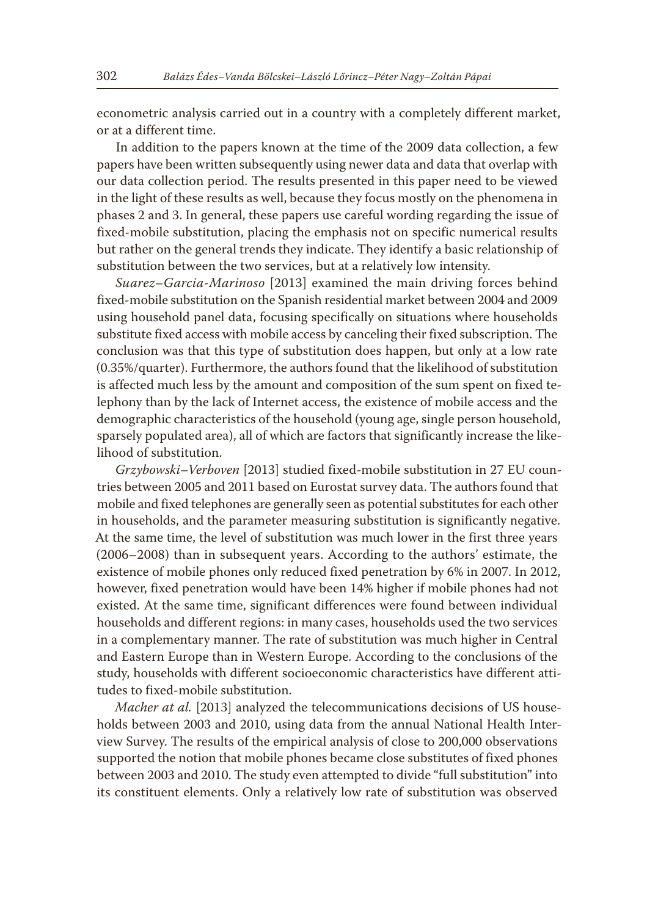econometric analysis carried out in a country with a completely different market, or at a different time.

In addition to the papers known at the time of the 2009 data collection, a few papers have been written subsequently using newer data and data that overlap with our data collection period. The results presented in this paper need to be viewed in the light of these results as well, because they focus mostly on the phenomena in phases 2 and 3. In general, these papers use careful wording regarding the issue of fixed-mobile substitution, placing the emphasis not on specific numerical results but rather on the general trends they indicate. They identify a basic relationship of substitution between the two services, but at a relatively low intensity.

*Suarez–Garcia-Marinoso* [2013] examined the main driving forces behind fixed-mobile substitution on the Spanish residential market between 2004 and 2009 using household panel data, focusing specifically on situations where households substitute fixed access with mobile access by canceling their fixed subscription. The conclusion was that this type of substitution does happen, but only at a low rate (0.35%/quarter). Furthermore, the authors found that the likelihood of substitution is affected much less by the amount and composition of the sum spent on fixed telephony than by the lack of Internet access, the existence of mobile access and the demographic characteristics of the household (young age, single person household, sparsely populated area), all of which are factors that significantly increase the likelihood of substitution.

*Grzybowski–Verboven* [2013] studied fixed-mobile substitution in 27 EU countries between 2005 and 2011 based on Eurostat survey data. The authors found that mobile and fixed telephones are generally seen as potential substitutes for each other in households, and the parameter measuring substitution is significantly negative. At the same time, the level of substitution was much lower in the first three years (2006–2008) than in subsequent years. According to the authors' estimate, the existence of mobile phones only reduced fixed penetration by 6% in 2007. In 2012, however, fixed penetration would have been 14% higher if mobile phones had not existed. At the same time, significant differences were found between individual households and different regions: in many cases, households used the two services in a complementary manner. The rate of substitution was much higher in Central and Eastern Europe than in Western Europe. According to the conclusions of the study, households with different socioeconomic characteristics have different attitudes to fixed-mobile substitution.

*Macher at al.* [2013] analyzed the telecommunications decisions of US households between 2003 and 2010, using data from the annual National Health Interview Survey. The results of the empirical analysis of close to 200,000 observations supported the notion that mobile phones became close substitutes of fixed phones between 2003 and 2010. The study even attempted to divide "full substitution" into its constituent elements. Only a relatively low rate of substitution was observed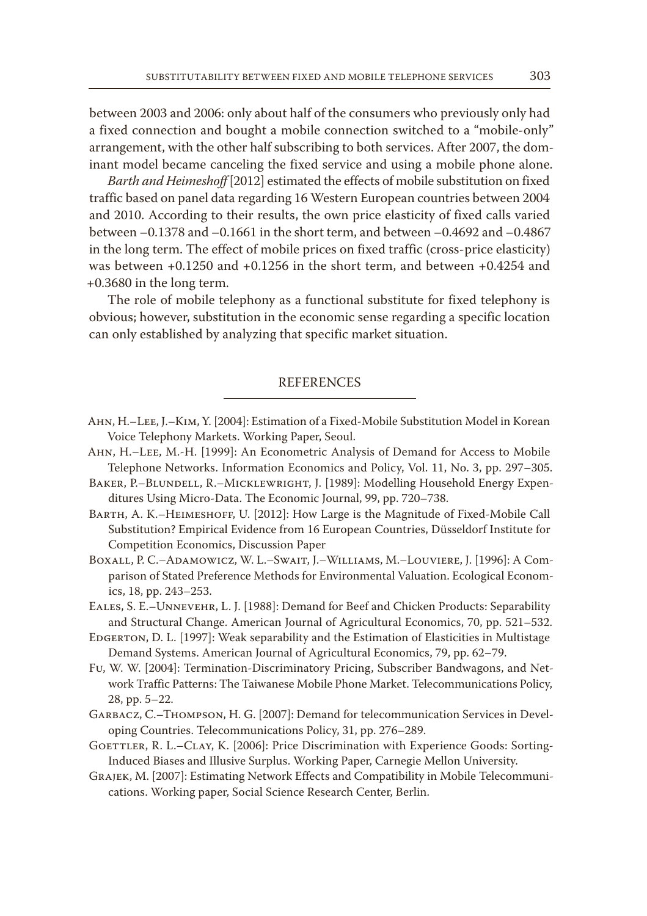between 2003 and 2006: only about half of the consumers who previously only had a fixed connection and bought a mobile connection switched to a "mobile-only" arrangement, with the other half subscribing to both services. After 2007, the dominant model became canceling the fixed service and using a mobile phone alone.

*Barth and Heimeshoff* [2012] estimated the effects of mobile substitution on fixed traffic based on panel data regarding 16 Western European countries between 2004 and 2010. According to their results, the own price elasticity of fixed calls varied between –0.1378 and –0.1661 in the short term, and between –0.4692 and –0.4867 in the long term. The effect of mobile prices on fixed traffic (cross-price elasticity) was between  $+0.1250$  and  $+0.1256$  in the short term, and between  $+0.4254$  and +0.3680 in the long term.

The role of mobile telephony as a functional substitute for fixed telephony is obvious; however, substitution in the economic sense regarding a specific location can only established by analyzing that specific market situation.

# **REFERENCES**

- Ahn, H.–Lee, J.–Kim, Y. [2004]: Estimation of a Fixed-Mobile Substitution Model in Korean Voice Telephony Markets. Working Paper, Seoul.
- Ahn, H.–Lee, M.-H. [1999]: An Econometric Analysis of Demand for Access to Mobile Telephone Networks. Information Economics and Policy, Vol. 11, No. 3, pp. 297–305.
- Baker, P.–Blundell, R.–Micklewright, J. [1989]: Modelling Household Energy Expenditures Using Micro-Data. The Economic Journal, 99, pp. 720–738.
- Barth, A. K.–Heimeshoff, U. [2012]: How Large is the Magnitude of Fixed-Mobile Call Substitution? Empirical Evidence from 16 European Countries, Düsseldorf Institute for Competition Economics, Discussion Paper
- Boxall, P. C.–Adamowicz, W. L.–Swait, J.–Williams, M.–Louviere, J. [1996]: A Comparison of Stated Preference Methods for Environmental Valuation. Ecological Economics, 18, pp. 243–253.
- Eales, S. E.–Unnevehr, L. J. [1988]: Demand for Beef and Chicken Products: Separability and Structural Change. American Journal of Agricultural Economics, 70, pp. 521–532.
- Edgerton, D. L. [1997]: Weak separability and the Estimation of Elasticities in Multistage Demand Systems. American Journal of Agricultural Economics, 79, pp. 62–79.
- Fu, W. W. [2004]: Termination-Discriminatory Pricing, Subscriber Bandwagons, and Network Traffic Patterns: The Taiwanese Mobile Phone Market. Telecommunications Policy, 28, pp. 5–22.
- Garbacz, C.–Thompson, H. G. [2007]: Demand for telecommunication Services in Developing Countries. Telecommunications Policy, 31, pp. 276–289.
- GOETTLER, R. L.–CLAY, K. [2006]: Price Discrimination with Experience Goods: Sorting-Induced Biases and Illusive Surplus. Working Paper, Carnegie Mellon University.
- Grajek, M. [2007]: Estimating Network Effects and Compatibility in Mobile Telecommunications. Working paper, Social Science Research Center, Berlin.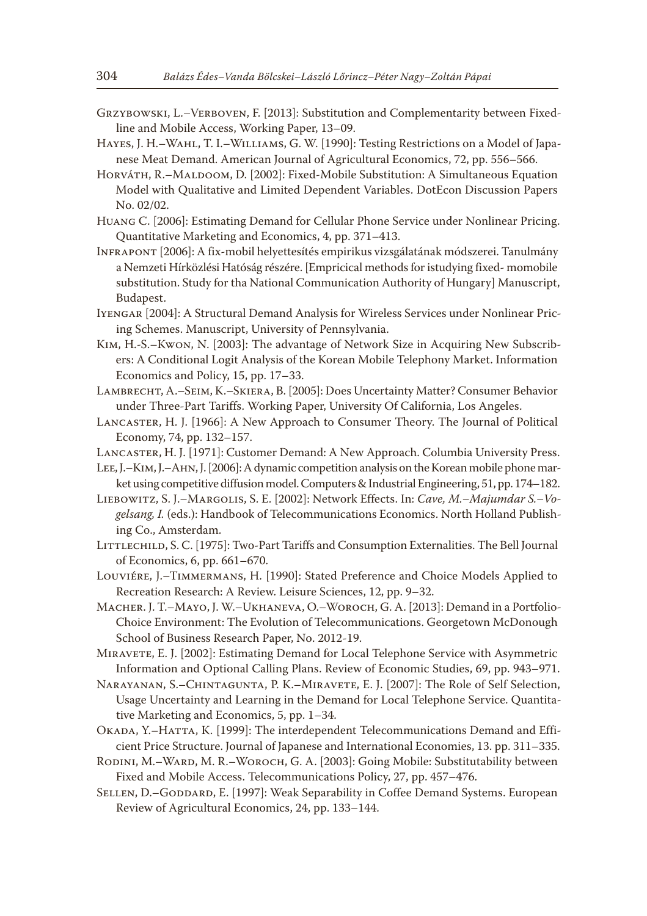- Grzybowski, L.–Verboven, F. [2013]: Substitution and Complementarity between Fixedline and Mobile Access, Working Paper, 13–09.
- Hayes, J. H.–Wahl, T. I.–Williams, G. W. [1990]: Testing Restrictions on a Model of Japanese Meat Demand. American Journal of Agricultural Economics, 72, pp. 556–566.
- Horváth, R.–Maldoom, D. [2002]: Fixed-Mobile Substitution: A Simultaneous Equation Model with Qualitative and Limited Dependent Variables. DotEcon Discussion Papers No. 02/02.
- Huang C. [2006]: Estimating Demand for Cellular Phone Service under Nonlinear Pricing. Quantitative Marketing and Economics, 4, pp. 371–413.
- Infrapont [2006]: A fix-mobil helyettesítés empirikus vizsgálatának módszerei. Tanulmány a Nemzeti Hírközlési Hatóság részére. [Empricical methods for istudying fixed- momobile substitution. Study for tha National Communication Authority of Hungary] Manuscript, Budapest.
- Iyengar [2004]: A Structural Demand Analysis for Wireless Services under Nonlinear Pricing Schemes. Manuscript, University of Pennsylvania.
- Kim, H.-S.–Kwon, N. [2003]: The advantage of Network Size in Acquiring New Subscribers: A Conditional Logit Analysis of the Korean Mobile Telephony Market. Information Economics and Policy, 15, pp. 17–33.
- Lambrecht, A.–Seim, K.–Skiera, B. [2005]: Does Uncertainty Matter? Consumer Behavior under Three-Part Tariffs. Working Paper, University Of California, Los Angeles.
- Lancaster, H. J. [1966]: A New Approach to Consumer Theory. The Journal of Political Economy, 74, pp. 132–157.
- Lancaster, H. J. [1971]: Customer Demand: A New Approach. Columbia University Press.
- Lee, J.–Kim, J.–Ahn, J. [2006]: A dynamic competition analysis on the Korean mobile phone market using competitive diffusion model. Computers & Industrial Engineering, 51, pp. 174–182.
- Liebowitz, S. J.–Margolis, S. E. [2002]: Network Effects. In: *Cave, M.–Majumdar S.–Vogelsang, I.* (eds.): Handbook of Telecommunications Economics. North Holland Publishing Co., Amsterdam.
- LITTLECHILD, S. C. [1975]: Two-Part Tariffs and Consumption Externalities. The Bell Journal of Economics, 6, pp. 661–670.
- Louviére, J.–Timmermans, H. [1990]: Stated Preference and Choice Models Applied to Recreation Research: A Review. Leisure Sciences, 12, pp. 9–32.
- Macher. J. T.–Mayo, J. W.–Ukhaneva, O.–Woroch, G. A. [2013]: Demand in a Portfolio-Choice Environment: The Evolution of Telecommunications. Georgetown McDonough School of Business Research Paper, No. 2012-19.

Miravete, E. J. [2002]: Estimating Demand for Local Telephone Service with Asymmetric Information and Optional Calling Plans. Review of Economic Studies, 69, pp. 943–971.

- Narayanan, S.–Chintagunta, P. K.–Miravete, E. J. [2007]: The Role of Self Selection, Usage Uncertainty and Learning in the Demand for Local Telephone Service. Quantitative Marketing and Economics, 5, pp. 1–34.
- Okada, Y.–Hatta, K. [1999]: The interdependent Telecommunications Demand and Efficient Price Structure. Journal of Japanese and International Economies, 13. pp. 311–335.
- Rodini, M.–Ward, M. R.–Woroch, G. A. [2003]: Going Mobile: Substitutability between Fixed and Mobile Access. Telecommunications Policy, 27, pp. 457–476.
- SELLEN, D.–GODDARD, E. [1997]: Weak Separability in Coffee Demand Systems. European Review of Agricultural Economics, 24, pp. 133–144.